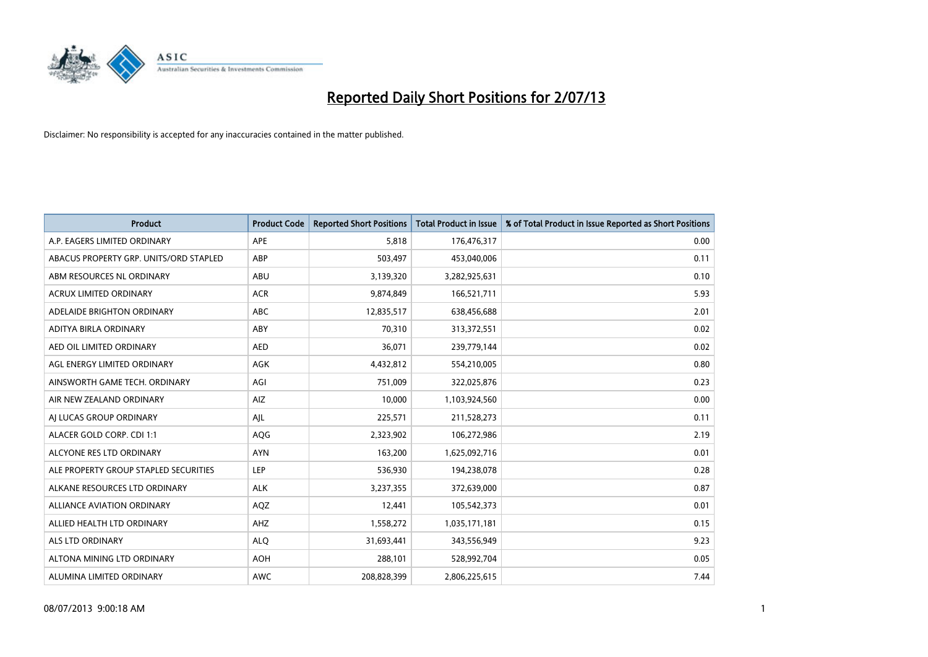

| <b>Product</b>                         | <b>Product Code</b> | <b>Reported Short Positions</b> | <b>Total Product in Issue</b> | % of Total Product in Issue Reported as Short Positions |
|----------------------------------------|---------------------|---------------------------------|-------------------------------|---------------------------------------------------------|
| A.P. EAGERS LIMITED ORDINARY           | APE                 | 5,818                           | 176,476,317                   | 0.00                                                    |
| ABACUS PROPERTY GRP. UNITS/ORD STAPLED | ABP                 | 503,497                         | 453,040,006                   | 0.11                                                    |
| ABM RESOURCES NL ORDINARY              | ABU                 | 3,139,320                       | 3,282,925,631                 | 0.10                                                    |
| ACRUX LIMITED ORDINARY                 | <b>ACR</b>          | 9,874,849                       | 166,521,711                   | 5.93                                                    |
| ADELAIDE BRIGHTON ORDINARY             | <b>ABC</b>          | 12,835,517                      | 638,456,688                   | 2.01                                                    |
| ADITYA BIRLA ORDINARY                  | ABY                 | 70,310                          | 313,372,551                   | 0.02                                                    |
| AED OIL LIMITED ORDINARY               | <b>AED</b>          | 36,071                          | 239,779,144                   | 0.02                                                    |
| AGL ENERGY LIMITED ORDINARY            | AGK                 | 4,432,812                       | 554,210,005                   | 0.80                                                    |
| AINSWORTH GAME TECH. ORDINARY          | AGI                 | 751,009                         | 322,025,876                   | 0.23                                                    |
| AIR NEW ZEALAND ORDINARY               | <b>AIZ</b>          | 10,000                          | 1,103,924,560                 | 0.00                                                    |
| AJ LUCAS GROUP ORDINARY                | AJL                 | 225,571                         | 211,528,273                   | 0.11                                                    |
| ALACER GOLD CORP. CDI 1:1              | AQG                 | 2,323,902                       | 106,272,986                   | 2.19                                                    |
| ALCYONE RES LTD ORDINARY               | <b>AYN</b>          | 163,200                         | 1,625,092,716                 | 0.01                                                    |
| ALE PROPERTY GROUP STAPLED SECURITIES  | LEP                 | 536,930                         | 194,238,078                   | 0.28                                                    |
| ALKANE RESOURCES LTD ORDINARY          | <b>ALK</b>          | 3,237,355                       | 372,639,000                   | 0.87                                                    |
| ALLIANCE AVIATION ORDINARY             | AQZ                 | 12,441                          | 105,542,373                   | 0.01                                                    |
| ALLIED HEALTH LTD ORDINARY             | AHZ                 | 1,558,272                       | 1,035,171,181                 | 0.15                                                    |
| ALS LTD ORDINARY                       | <b>ALQ</b>          | 31,693,441                      | 343,556,949                   | 9.23                                                    |
| ALTONA MINING LTD ORDINARY             | <b>AOH</b>          | 288,101                         | 528,992,704                   | 0.05                                                    |
| ALUMINA LIMITED ORDINARY               | <b>AWC</b>          | 208,828,399                     | 2,806,225,615                 | 7.44                                                    |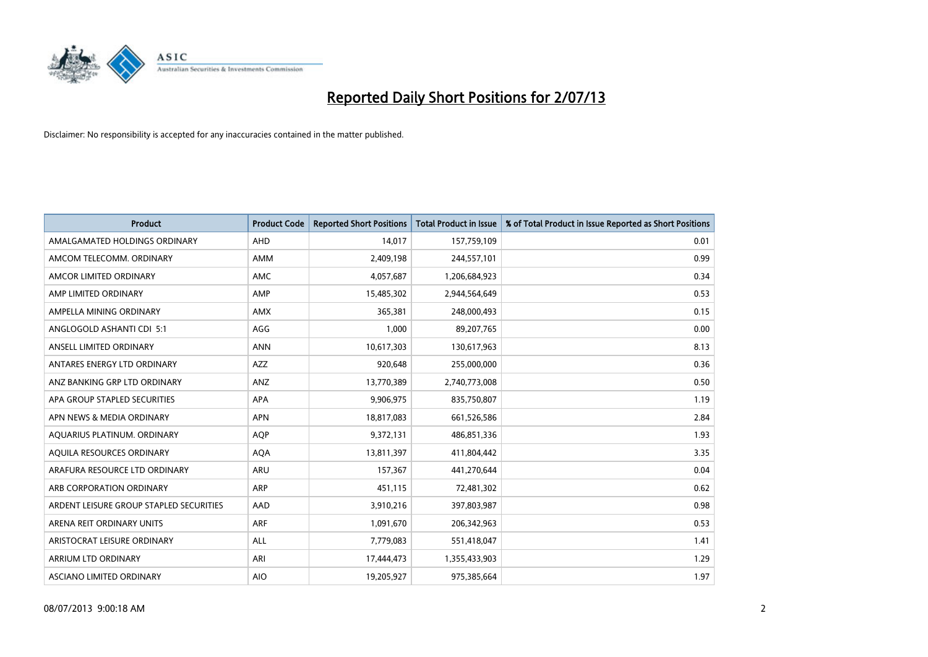

| <b>Product</b>                          | <b>Product Code</b> | <b>Reported Short Positions</b> | <b>Total Product in Issue</b> | % of Total Product in Issue Reported as Short Positions |
|-----------------------------------------|---------------------|---------------------------------|-------------------------------|---------------------------------------------------------|
| AMALGAMATED HOLDINGS ORDINARY           | AHD                 | 14,017                          | 157,759,109                   | 0.01                                                    |
| AMCOM TELECOMM. ORDINARY                | AMM                 | 2,409,198                       | 244,557,101                   | 0.99                                                    |
| AMCOR LIMITED ORDINARY                  | AMC                 | 4,057,687                       | 1,206,684,923                 | 0.34                                                    |
| AMP LIMITED ORDINARY                    | AMP                 | 15,485,302                      | 2,944,564,649                 | 0.53                                                    |
| AMPELLA MINING ORDINARY                 | <b>AMX</b>          | 365,381                         | 248,000,493                   | 0.15                                                    |
| ANGLOGOLD ASHANTI CDI 5:1               | AGG                 | 1,000                           | 89,207,765                    | 0.00                                                    |
| ANSELL LIMITED ORDINARY                 | <b>ANN</b>          | 10,617,303                      | 130,617,963                   | 8.13                                                    |
| ANTARES ENERGY LTD ORDINARY             | AZZ                 | 920,648                         | 255,000,000                   | 0.36                                                    |
| ANZ BANKING GRP LTD ORDINARY            | ANZ                 | 13,770,389                      | 2,740,773,008                 | 0.50                                                    |
| APA GROUP STAPLED SECURITIES            | <b>APA</b>          | 9,906,975                       | 835,750,807                   | 1.19                                                    |
| APN NEWS & MEDIA ORDINARY               | <b>APN</b>          | 18,817,083                      | 661,526,586                   | 2.84                                                    |
| AQUARIUS PLATINUM. ORDINARY             | <b>AOP</b>          | 9,372,131                       | 486,851,336                   | 1.93                                                    |
| AQUILA RESOURCES ORDINARY               | <b>AQA</b>          | 13,811,397                      | 411,804,442                   | 3.35                                                    |
| ARAFURA RESOURCE LTD ORDINARY           | <b>ARU</b>          | 157,367                         | 441,270,644                   | 0.04                                                    |
| ARB CORPORATION ORDINARY                | ARP                 | 451,115                         | 72,481,302                    | 0.62                                                    |
| ARDENT LEISURE GROUP STAPLED SECURITIES | AAD                 | 3,910,216                       | 397,803,987                   | 0.98                                                    |
| ARENA REIT ORDINARY UNITS               | <b>ARF</b>          | 1,091,670                       | 206,342,963                   | 0.53                                                    |
| ARISTOCRAT LEISURE ORDINARY             | ALL                 | 7,779,083                       | 551,418,047                   | 1.41                                                    |
| ARRIUM LTD ORDINARY                     | ARI                 | 17,444,473                      | 1,355,433,903                 | 1.29                                                    |
| ASCIANO LIMITED ORDINARY                | <b>AIO</b>          | 19,205,927                      | 975,385,664                   | 1.97                                                    |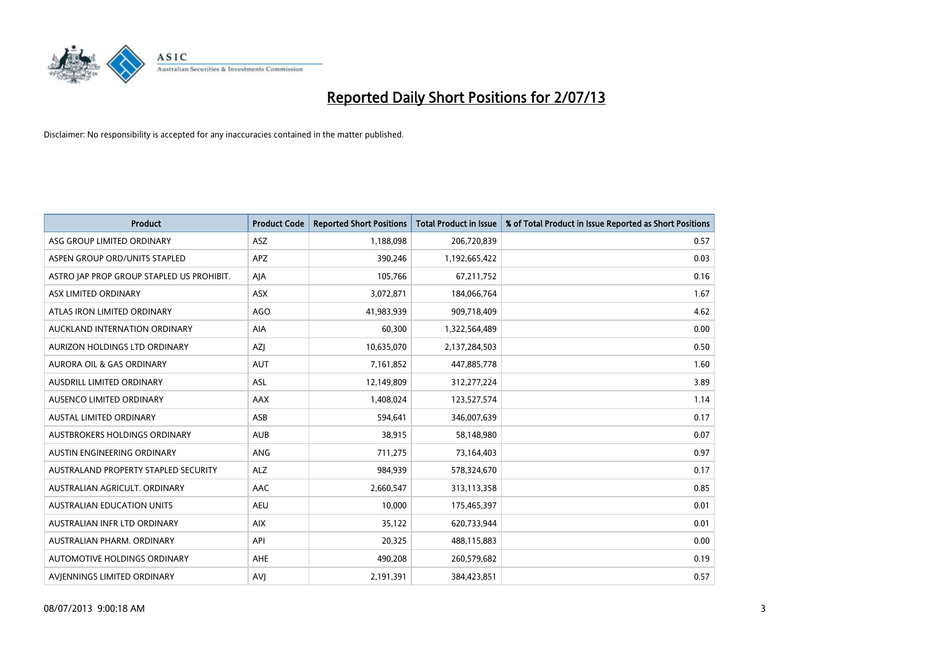

| <b>Product</b>                            | <b>Product Code</b> | <b>Reported Short Positions</b> | <b>Total Product in Issue</b> | % of Total Product in Issue Reported as Short Positions |
|-------------------------------------------|---------------------|---------------------------------|-------------------------------|---------------------------------------------------------|
| ASG GROUP LIMITED ORDINARY                | ASZ                 | 1,188,098                       | 206,720,839                   | 0.57                                                    |
| ASPEN GROUP ORD/UNITS STAPLED             | <b>APZ</b>          | 390,246                         | 1,192,665,422                 | 0.03                                                    |
| ASTRO JAP PROP GROUP STAPLED US PROHIBIT. | AJA                 | 105,766                         | 67,211,752                    | 0.16                                                    |
| ASX LIMITED ORDINARY                      | ASX                 | 3,072,871                       | 184,066,764                   | 1.67                                                    |
| ATLAS IRON LIMITED ORDINARY               | <b>AGO</b>          | 41,983,939                      | 909,718,409                   | 4.62                                                    |
| AUCKLAND INTERNATION ORDINARY             | AIA                 | 60,300                          | 1,322,564,489                 | 0.00                                                    |
| AURIZON HOLDINGS LTD ORDINARY             | AZJ                 | 10,635,070                      | 2,137,284,503                 | 0.50                                                    |
| AURORA OIL & GAS ORDINARY                 | AUT                 | 7,161,852                       | 447,885,778                   | 1.60                                                    |
| <b>AUSDRILL LIMITED ORDINARY</b>          | <b>ASL</b>          | 12,149,809                      | 312,277,224                   | 3.89                                                    |
| AUSENCO LIMITED ORDINARY                  | <b>AAX</b>          | 1,408,024                       | 123,527,574                   | 1.14                                                    |
| AUSTAL LIMITED ORDINARY                   | ASB                 | 594,641                         | 346,007,639                   | 0.17                                                    |
| AUSTBROKERS HOLDINGS ORDINARY             | <b>AUB</b>          | 38,915                          | 58,148,980                    | 0.07                                                    |
| AUSTIN ENGINEERING ORDINARY               | <b>ANG</b>          | 711,275                         | 73,164,403                    | 0.97                                                    |
| AUSTRALAND PROPERTY STAPLED SECURITY      | <b>ALZ</b>          | 984,939                         | 578,324,670                   | 0.17                                                    |
| AUSTRALIAN AGRICULT, ORDINARY             | AAC                 | 2,660,547                       | 313,113,358                   | 0.85                                                    |
| AUSTRALIAN EDUCATION UNITS                | <b>AEU</b>          | 10,000                          | 175,465,397                   | 0.01                                                    |
| AUSTRALIAN INFR LTD ORDINARY              | <b>AIX</b>          | 35,122                          | 620,733,944                   | 0.01                                                    |
| AUSTRALIAN PHARM, ORDINARY                | API                 | 20,325                          | 488,115,883                   | 0.00                                                    |
| AUTOMOTIVE HOLDINGS ORDINARY              | <b>AHE</b>          | 490,208                         | 260,579,682                   | 0.19                                                    |
| AVJENNINGS LIMITED ORDINARY               | <b>AVJ</b>          | 2,191,391                       | 384,423,851                   | 0.57                                                    |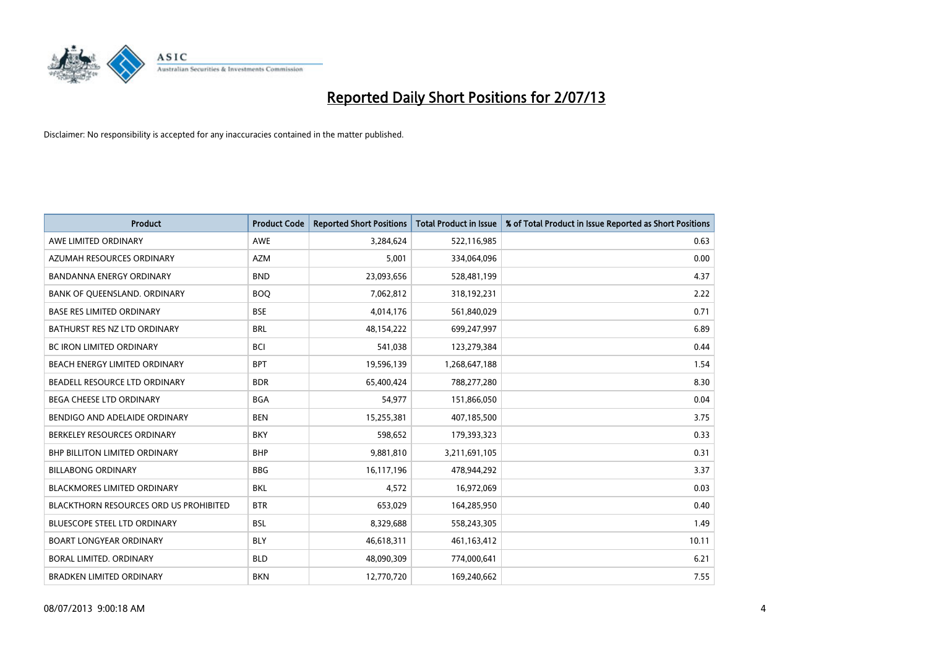

| <b>Product</b>                         | <b>Product Code</b> | <b>Reported Short Positions</b> | <b>Total Product in Issue</b> | % of Total Product in Issue Reported as Short Positions |
|----------------------------------------|---------------------|---------------------------------|-------------------------------|---------------------------------------------------------|
| AWE LIMITED ORDINARY                   | <b>AWE</b>          | 3,284,624                       | 522,116,985                   | 0.63                                                    |
| AZUMAH RESOURCES ORDINARY              | <b>AZM</b>          | 5,001                           | 334,064,096                   | 0.00                                                    |
| <b>BANDANNA ENERGY ORDINARY</b>        | <b>BND</b>          | 23,093,656                      | 528,481,199                   | 4.37                                                    |
| BANK OF QUEENSLAND. ORDINARY           | <b>BOQ</b>          | 7,062,812                       | 318,192,231                   | 2.22                                                    |
| <b>BASE RES LIMITED ORDINARY</b>       | <b>BSE</b>          | 4,014,176                       | 561,840,029                   | 0.71                                                    |
| BATHURST RES NZ LTD ORDINARY           | <b>BRL</b>          | 48,154,222                      | 699,247,997                   | 6.89                                                    |
| <b>BC IRON LIMITED ORDINARY</b>        | <b>BCI</b>          | 541,038                         | 123,279,384                   | 0.44                                                    |
| BEACH ENERGY LIMITED ORDINARY          | <b>BPT</b>          | 19,596,139                      | 1,268,647,188                 | 1.54                                                    |
| BEADELL RESOURCE LTD ORDINARY          | <b>BDR</b>          | 65,400,424                      | 788,277,280                   | 8.30                                                    |
| <b>BEGA CHEESE LTD ORDINARY</b>        | <b>BGA</b>          | 54,977                          | 151,866,050                   | 0.04                                                    |
| BENDIGO AND ADELAIDE ORDINARY          | <b>BEN</b>          | 15,255,381                      | 407,185,500                   | 3.75                                                    |
| BERKELEY RESOURCES ORDINARY            | <b>BKY</b>          | 598,652                         | 179,393,323                   | 0.33                                                    |
| <b>BHP BILLITON LIMITED ORDINARY</b>   | <b>BHP</b>          | 9,881,810                       | 3,211,691,105                 | 0.31                                                    |
| <b>BILLABONG ORDINARY</b>              | <b>BBG</b>          | 16,117,196                      | 478,944,292                   | 3.37                                                    |
| <b>BLACKMORES LIMITED ORDINARY</b>     | <b>BKL</b>          | 4,572                           | 16,972,069                    | 0.03                                                    |
| BLACKTHORN RESOURCES ORD US PROHIBITED | <b>BTR</b>          | 653,029                         | 164,285,950                   | 0.40                                                    |
| BLUESCOPE STEEL LTD ORDINARY           | <b>BSL</b>          | 8,329,688                       | 558,243,305                   | 1.49                                                    |
| <b>BOART LONGYEAR ORDINARY</b>         | <b>BLY</b>          | 46,618,311                      | 461,163,412                   | 10.11                                                   |
| <b>BORAL LIMITED, ORDINARY</b>         | <b>BLD</b>          | 48,090,309                      | 774,000,641                   | 6.21                                                    |
| <b>BRADKEN LIMITED ORDINARY</b>        | <b>BKN</b>          | 12,770,720                      | 169,240,662                   | 7.55                                                    |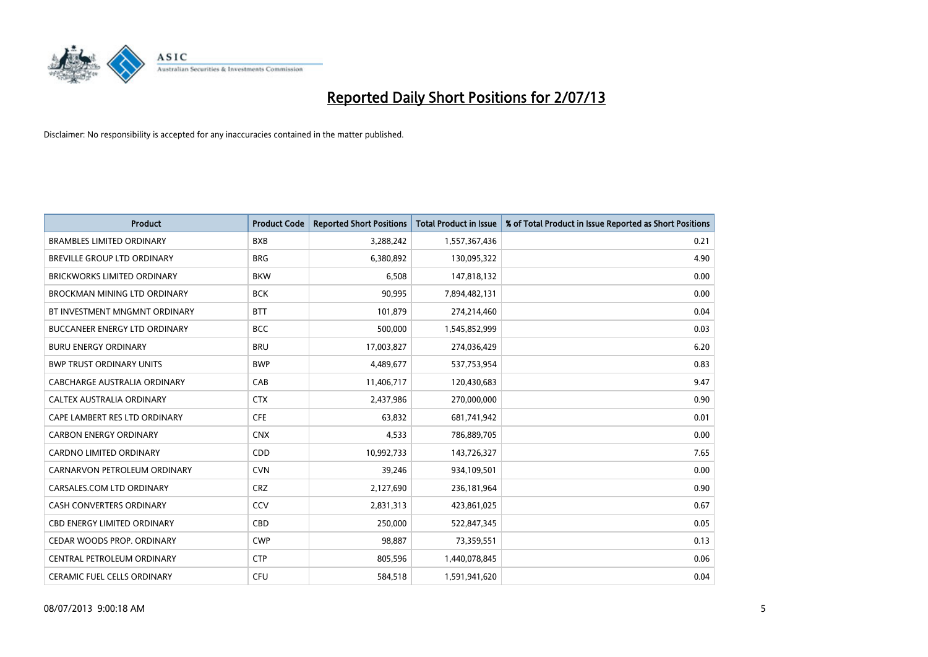

| <b>Product</b>                       | <b>Product Code</b> | <b>Reported Short Positions</b> | <b>Total Product in Issue</b> | % of Total Product in Issue Reported as Short Positions |
|--------------------------------------|---------------------|---------------------------------|-------------------------------|---------------------------------------------------------|
| <b>BRAMBLES LIMITED ORDINARY</b>     | <b>BXB</b>          | 3,288,242                       | 1,557,367,436                 | 0.21                                                    |
| BREVILLE GROUP LTD ORDINARY          | <b>BRG</b>          | 6,380,892                       | 130,095,322                   | 4.90                                                    |
| <b>BRICKWORKS LIMITED ORDINARY</b>   | <b>BKW</b>          | 6,508                           | 147,818,132                   | 0.00                                                    |
| BROCKMAN MINING LTD ORDINARY         | <b>BCK</b>          | 90,995                          | 7,894,482,131                 | 0.00                                                    |
| BT INVESTMENT MNGMNT ORDINARY        | <b>BTT</b>          | 101,879                         | 274,214,460                   | 0.04                                                    |
| <b>BUCCANEER ENERGY LTD ORDINARY</b> | <b>BCC</b>          | 500,000                         | 1,545,852,999                 | 0.03                                                    |
| <b>BURU ENERGY ORDINARY</b>          | <b>BRU</b>          | 17,003,827                      | 274,036,429                   | 6.20                                                    |
| <b>BWP TRUST ORDINARY UNITS</b>      | <b>BWP</b>          | 4,489,677                       | 537,753,954                   | 0.83                                                    |
| CABCHARGE AUSTRALIA ORDINARY         | CAB                 | 11,406,717                      | 120,430,683                   | 9.47                                                    |
| CALTEX AUSTRALIA ORDINARY            | <b>CTX</b>          | 2,437,986                       | 270,000,000                   | 0.90                                                    |
| CAPE LAMBERT RES LTD ORDINARY        | <b>CFE</b>          | 63,832                          | 681,741,942                   | 0.01                                                    |
| <b>CARBON ENERGY ORDINARY</b>        | <b>CNX</b>          | 4,533                           | 786,889,705                   | 0.00                                                    |
| <b>CARDNO LIMITED ORDINARY</b>       | CDD                 | 10,992,733                      | 143,726,327                   | 7.65                                                    |
| CARNARVON PETROLEUM ORDINARY         | <b>CVN</b>          | 39,246                          | 934,109,501                   | 0.00                                                    |
| CARSALES.COM LTD ORDINARY            | <b>CRZ</b>          | 2,127,690                       | 236,181,964                   | 0.90                                                    |
| <b>CASH CONVERTERS ORDINARY</b>      | CCV                 | 2,831,313                       | 423,861,025                   | 0.67                                                    |
| <b>CBD ENERGY LIMITED ORDINARY</b>   | CBD                 | 250,000                         | 522,847,345                   | 0.05                                                    |
| CEDAR WOODS PROP. ORDINARY           | <b>CWP</b>          | 98,887                          | 73,359,551                    | 0.13                                                    |
| CENTRAL PETROLEUM ORDINARY           | <b>CTP</b>          | 805,596                         | 1,440,078,845                 | 0.06                                                    |
| <b>CERAMIC FUEL CELLS ORDINARY</b>   | <b>CFU</b>          | 584,518                         | 1,591,941,620                 | 0.04                                                    |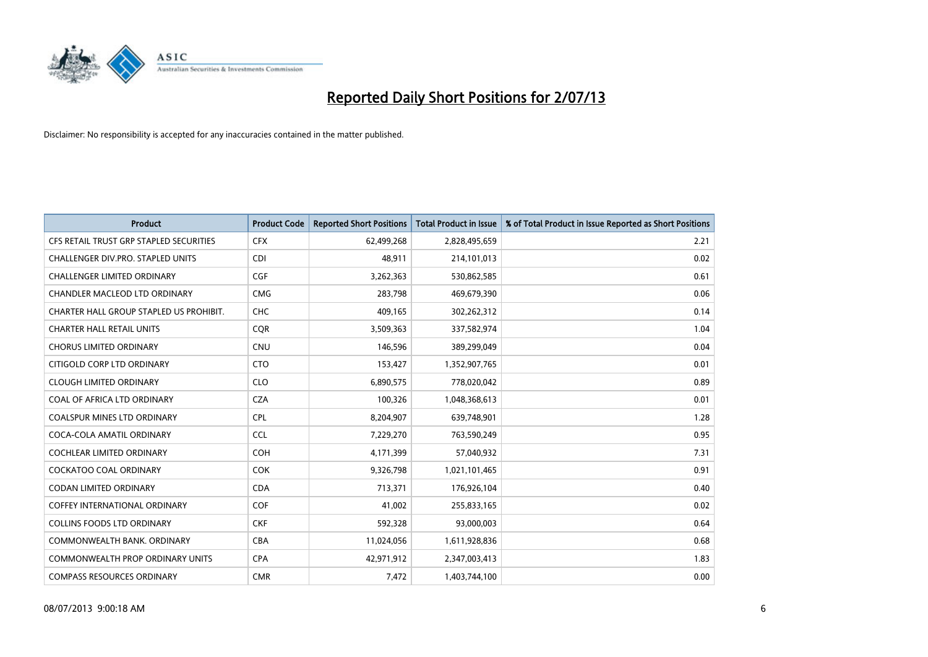

| <b>Product</b>                          | <b>Product Code</b> | <b>Reported Short Positions</b> | <b>Total Product in Issue</b> | % of Total Product in Issue Reported as Short Positions |
|-----------------------------------------|---------------------|---------------------------------|-------------------------------|---------------------------------------------------------|
| CFS RETAIL TRUST GRP STAPLED SECURITIES | <b>CFX</b>          | 62,499,268                      | 2,828,495,659                 | 2.21                                                    |
| CHALLENGER DIV.PRO. STAPLED UNITS       | <b>CDI</b>          | 48,911                          | 214,101,013                   | 0.02                                                    |
| <b>CHALLENGER LIMITED ORDINARY</b>      | <b>CGF</b>          | 3,262,363                       | 530,862,585                   | 0.61                                                    |
| CHANDLER MACLEOD LTD ORDINARY           | <b>CMG</b>          | 283,798                         | 469,679,390                   | 0.06                                                    |
| CHARTER HALL GROUP STAPLED US PROHIBIT. | <b>CHC</b>          | 409,165                         | 302,262,312                   | 0.14                                                    |
| <b>CHARTER HALL RETAIL UNITS</b>        | CQR                 | 3,509,363                       | 337,582,974                   | 1.04                                                    |
| <b>CHORUS LIMITED ORDINARY</b>          | <b>CNU</b>          | 146,596                         | 389,299,049                   | 0.04                                                    |
| CITIGOLD CORP LTD ORDINARY              | <b>CTO</b>          | 153,427                         | 1,352,907,765                 | 0.01                                                    |
| <b>CLOUGH LIMITED ORDINARY</b>          | <b>CLO</b>          | 6,890,575                       | 778,020,042                   | 0.89                                                    |
| COAL OF AFRICA LTD ORDINARY             | <b>CZA</b>          | 100,326                         | 1,048,368,613                 | 0.01                                                    |
| COALSPUR MINES LTD ORDINARY             | <b>CPL</b>          | 8,204,907                       | 639,748,901                   | 1.28                                                    |
| COCA-COLA AMATIL ORDINARY               | <b>CCL</b>          | 7,229,270                       | 763,590,249                   | 0.95                                                    |
| <b>COCHLEAR LIMITED ORDINARY</b>        | <b>COH</b>          | 4,171,399                       | 57,040,932                    | 7.31                                                    |
| <b>COCKATOO COAL ORDINARY</b>           | <b>COK</b>          | 9,326,798                       | 1,021,101,465                 | 0.91                                                    |
| <b>CODAN LIMITED ORDINARY</b>           | <b>CDA</b>          | 713,371                         | 176,926,104                   | 0.40                                                    |
| COFFEY INTERNATIONAL ORDINARY           | <b>COF</b>          | 41,002                          | 255,833,165                   | 0.02                                                    |
| COLLINS FOODS LTD ORDINARY              | <b>CKF</b>          | 592,328                         | 93,000,003                    | 0.64                                                    |
| COMMONWEALTH BANK, ORDINARY             | <b>CBA</b>          | 11,024,056                      | 1,611,928,836                 | 0.68                                                    |
| <b>COMMONWEALTH PROP ORDINARY UNITS</b> | <b>CPA</b>          | 42,971,912                      | 2,347,003,413                 | 1.83                                                    |
| <b>COMPASS RESOURCES ORDINARY</b>       | <b>CMR</b>          | 7,472                           | 1,403,744,100                 | 0.00                                                    |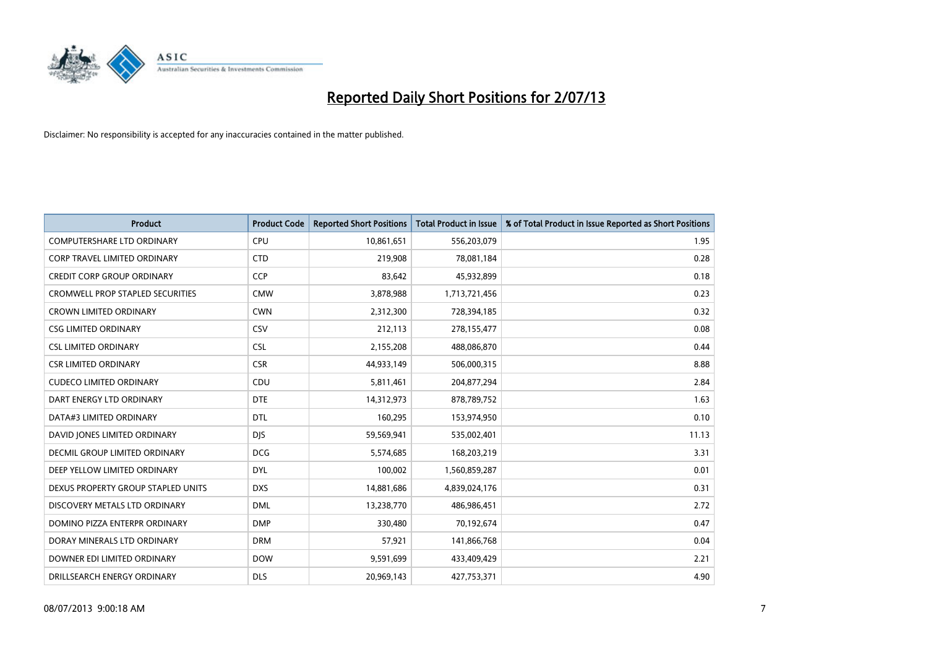

| <b>Product</b>                          | <b>Product Code</b> | <b>Reported Short Positions</b> | <b>Total Product in Issue</b> | % of Total Product in Issue Reported as Short Positions |
|-----------------------------------------|---------------------|---------------------------------|-------------------------------|---------------------------------------------------------|
| <b>COMPUTERSHARE LTD ORDINARY</b>       | <b>CPU</b>          | 10,861,651                      | 556,203,079                   | 1.95                                                    |
| CORP TRAVEL LIMITED ORDINARY            | <b>CTD</b>          | 219,908                         | 78,081,184                    | 0.28                                                    |
| <b>CREDIT CORP GROUP ORDINARY</b>       | <b>CCP</b>          | 83,642                          | 45,932,899                    | 0.18                                                    |
| <b>CROMWELL PROP STAPLED SECURITIES</b> | <b>CMW</b>          | 3,878,988                       | 1,713,721,456                 | 0.23                                                    |
| <b>CROWN LIMITED ORDINARY</b>           | <b>CWN</b>          | 2,312,300                       | 728,394,185                   | 0.32                                                    |
| <b>CSG LIMITED ORDINARY</b>             | CSV                 | 212,113                         | 278,155,477                   | 0.08                                                    |
| <b>CSL LIMITED ORDINARY</b>             | <b>CSL</b>          | 2,155,208                       | 488,086,870                   | 0.44                                                    |
| <b>CSR LIMITED ORDINARY</b>             | <b>CSR</b>          | 44,933,149                      | 506,000,315                   | 8.88                                                    |
| <b>CUDECO LIMITED ORDINARY</b>          | CDU                 | 5,811,461                       | 204,877,294                   | 2.84                                                    |
| DART ENERGY LTD ORDINARY                | <b>DTE</b>          | 14,312,973                      | 878,789,752                   | 1.63                                                    |
| DATA#3 LIMITED ORDINARY                 | DTL                 | 160,295                         | 153,974,950                   | 0.10                                                    |
| DAVID JONES LIMITED ORDINARY            | <b>DJS</b>          | 59,569,941                      | 535,002,401                   | 11.13                                                   |
| DECMIL GROUP LIMITED ORDINARY           | <b>DCG</b>          | 5,574,685                       | 168,203,219                   | 3.31                                                    |
| DEEP YELLOW LIMITED ORDINARY            | <b>DYL</b>          | 100,002                         | 1,560,859,287                 | 0.01                                                    |
| DEXUS PROPERTY GROUP STAPLED UNITS      | <b>DXS</b>          | 14,881,686                      | 4,839,024,176                 | 0.31                                                    |
| DISCOVERY METALS LTD ORDINARY           | <b>DML</b>          | 13,238,770                      | 486,986,451                   | 2.72                                                    |
| DOMINO PIZZA ENTERPR ORDINARY           | <b>DMP</b>          | 330,480                         | 70,192,674                    | 0.47                                                    |
| DORAY MINERALS LTD ORDINARY             | <b>DRM</b>          | 57,921                          | 141,866,768                   | 0.04                                                    |
| DOWNER EDI LIMITED ORDINARY             | <b>DOW</b>          | 9,591,699                       | 433,409,429                   | 2.21                                                    |
| DRILLSEARCH ENERGY ORDINARY             | <b>DLS</b>          | 20,969,143                      | 427,753,371                   | 4.90                                                    |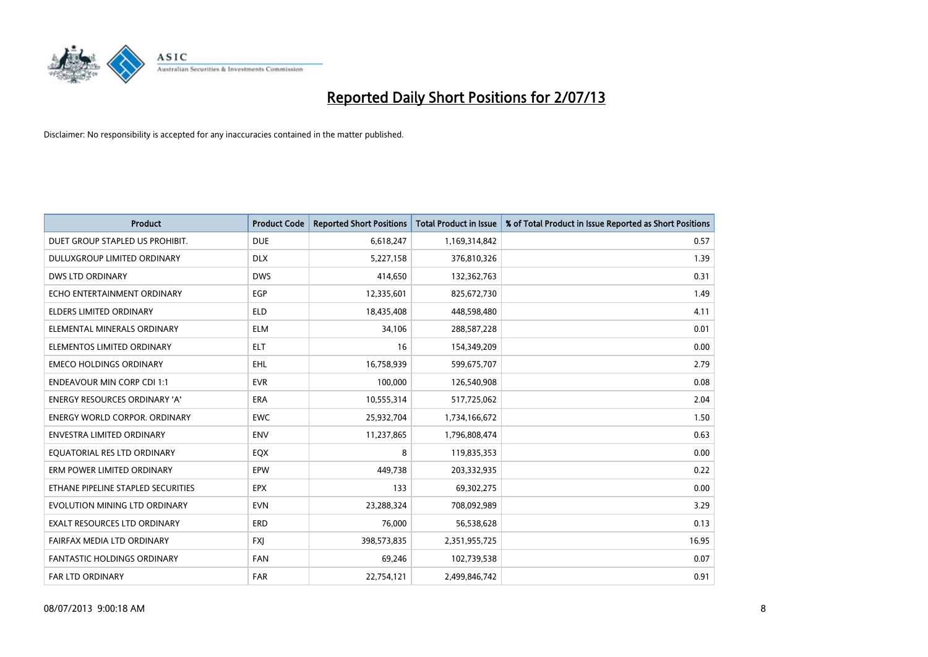

| <b>Product</b>                       | <b>Product Code</b> | <b>Reported Short Positions</b> | <b>Total Product in Issue</b> | % of Total Product in Issue Reported as Short Positions |
|--------------------------------------|---------------------|---------------------------------|-------------------------------|---------------------------------------------------------|
| DUET GROUP STAPLED US PROHIBIT.      | <b>DUE</b>          | 6,618,247                       | 1,169,314,842                 | 0.57                                                    |
| <b>DULUXGROUP LIMITED ORDINARY</b>   | <b>DLX</b>          | 5,227,158                       | 376,810,326                   | 1.39                                                    |
| DWS LTD ORDINARY                     | <b>DWS</b>          | 414,650                         | 132,362,763                   | 0.31                                                    |
| ECHO ENTERTAINMENT ORDINARY          | EGP                 | 12,335,601                      | 825,672,730                   | 1.49                                                    |
| <b>ELDERS LIMITED ORDINARY</b>       | <b>ELD</b>          | 18,435,408                      | 448,598,480                   | 4.11                                                    |
| ELEMENTAL MINERALS ORDINARY          | <b>ELM</b>          | 34,106                          | 288,587,228                   | 0.01                                                    |
| ELEMENTOS LIMITED ORDINARY           | ELT                 | 16                              | 154,349,209                   | 0.00                                                    |
| <b>EMECO HOLDINGS ORDINARY</b>       | <b>EHL</b>          | 16,758,939                      | 599,675,707                   | 2.79                                                    |
| <b>ENDEAVOUR MIN CORP CDI 1:1</b>    | <b>EVR</b>          | 100,000                         | 126,540,908                   | 0.08                                                    |
| <b>ENERGY RESOURCES ORDINARY 'A'</b> | ERA                 | 10,555,314                      | 517,725,062                   | 2.04                                                    |
| <b>ENERGY WORLD CORPOR. ORDINARY</b> | <b>EWC</b>          | 25,932,704                      | 1,734,166,672                 | 1.50                                                    |
| <b>ENVESTRA LIMITED ORDINARY</b>     | <b>ENV</b>          | 11,237,865                      | 1,796,808,474                 | 0.63                                                    |
| EQUATORIAL RES LTD ORDINARY          | EQX                 | 8                               | 119,835,353                   | 0.00                                                    |
| ERM POWER LIMITED ORDINARY           | EPW                 | 449,738                         | 203,332,935                   | 0.22                                                    |
| ETHANE PIPELINE STAPLED SECURITIES   | <b>EPX</b>          | 133                             | 69,302,275                    | 0.00                                                    |
| EVOLUTION MINING LTD ORDINARY        | <b>EVN</b>          | 23,288,324                      | 708,092,989                   | 3.29                                                    |
| <b>EXALT RESOURCES LTD ORDINARY</b>  | <b>ERD</b>          | 76,000                          | 56,538,628                    | 0.13                                                    |
| FAIRFAX MEDIA LTD ORDINARY           | <b>FXJ</b>          | 398,573,835                     | 2,351,955,725                 | 16.95                                                   |
| <b>FANTASTIC HOLDINGS ORDINARY</b>   | <b>FAN</b>          | 69,246                          | 102,739,538                   | 0.07                                                    |
| <b>FAR LTD ORDINARY</b>              | <b>FAR</b>          | 22,754,121                      | 2,499,846,742                 | 0.91                                                    |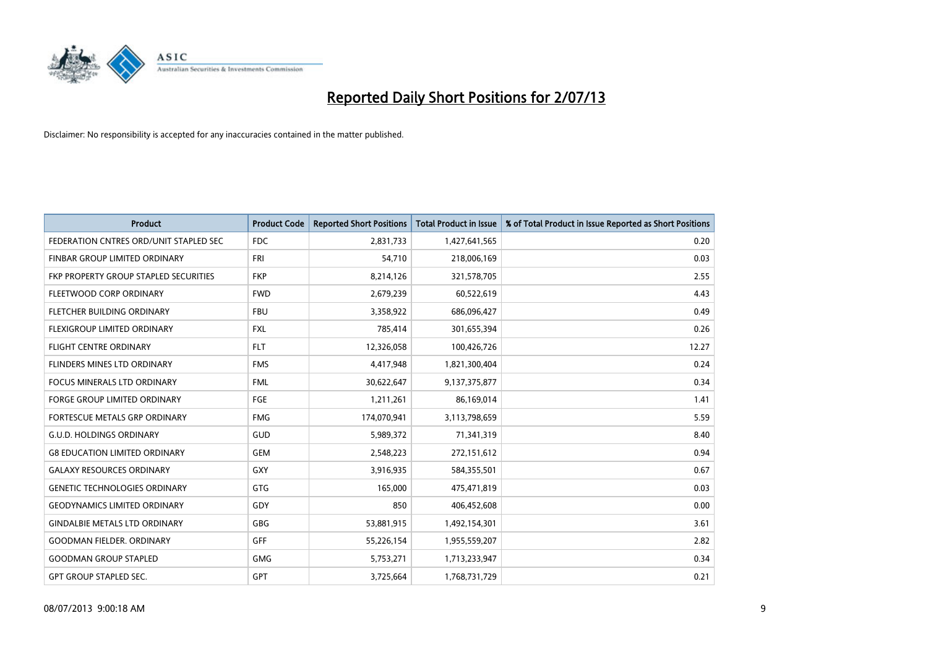

| <b>Product</b>                         | <b>Product Code</b> | <b>Reported Short Positions</b> | <b>Total Product in Issue</b> | % of Total Product in Issue Reported as Short Positions |
|----------------------------------------|---------------------|---------------------------------|-------------------------------|---------------------------------------------------------|
| FEDERATION CNTRES ORD/UNIT STAPLED SEC | <b>FDC</b>          | 2,831,733                       | 1,427,641,565                 | 0.20                                                    |
| FINBAR GROUP LIMITED ORDINARY          | <b>FRI</b>          | 54,710                          | 218,006,169                   | 0.03                                                    |
| FKP PROPERTY GROUP STAPLED SECURITIES  | <b>FKP</b>          | 8,214,126                       | 321,578,705                   | 2.55                                                    |
| FLEETWOOD CORP ORDINARY                | <b>FWD</b>          | 2,679,239                       | 60,522,619                    | 4.43                                                    |
| FLETCHER BUILDING ORDINARY             | <b>FBU</b>          | 3,358,922                       | 686,096,427                   | 0.49                                                    |
| FLEXIGROUP LIMITED ORDINARY            | <b>FXL</b>          | 785,414                         | 301,655,394                   | 0.26                                                    |
| <b>FLIGHT CENTRE ORDINARY</b>          | <b>FLT</b>          | 12,326,058                      | 100,426,726                   | 12.27                                                   |
| FLINDERS MINES LTD ORDINARY            | <b>FMS</b>          | 4,417,948                       | 1,821,300,404                 | 0.24                                                    |
| <b>FOCUS MINERALS LTD ORDINARY</b>     | <b>FML</b>          | 30,622,647                      | 9,137,375,877                 | 0.34                                                    |
| FORGE GROUP LIMITED ORDINARY           | FGE                 | 1,211,261                       | 86,169,014                    | 1.41                                                    |
| FORTESCUE METALS GRP ORDINARY          | <b>FMG</b>          | 174,070,941                     | 3,113,798,659                 | 5.59                                                    |
| <b>G.U.D. HOLDINGS ORDINARY</b>        | <b>GUD</b>          | 5,989,372                       | 71,341,319                    | 8.40                                                    |
| <b>G8 EDUCATION LIMITED ORDINARY</b>   | <b>GEM</b>          | 2,548,223                       | 272,151,612                   | 0.94                                                    |
| <b>GALAXY RESOURCES ORDINARY</b>       | GXY                 | 3,916,935                       | 584,355,501                   | 0.67                                                    |
| <b>GENETIC TECHNOLOGIES ORDINARY</b>   | GTG                 | 165,000                         | 475,471,819                   | 0.03                                                    |
| <b>GEODYNAMICS LIMITED ORDINARY</b>    | GDY                 | 850                             | 406,452,608                   | 0.00                                                    |
| <b>GINDALBIE METALS LTD ORDINARY</b>   | GBG                 | 53,881,915                      | 1,492,154,301                 | 3.61                                                    |
| <b>GOODMAN FIELDER, ORDINARY</b>       | <b>GFF</b>          | 55,226,154                      | 1,955,559,207                 | 2.82                                                    |
| <b>GOODMAN GROUP STAPLED</b>           | <b>GMG</b>          | 5,753,271                       | 1,713,233,947                 | 0.34                                                    |
| <b>GPT GROUP STAPLED SEC.</b>          | GPT                 | 3,725,664                       | 1,768,731,729                 | 0.21                                                    |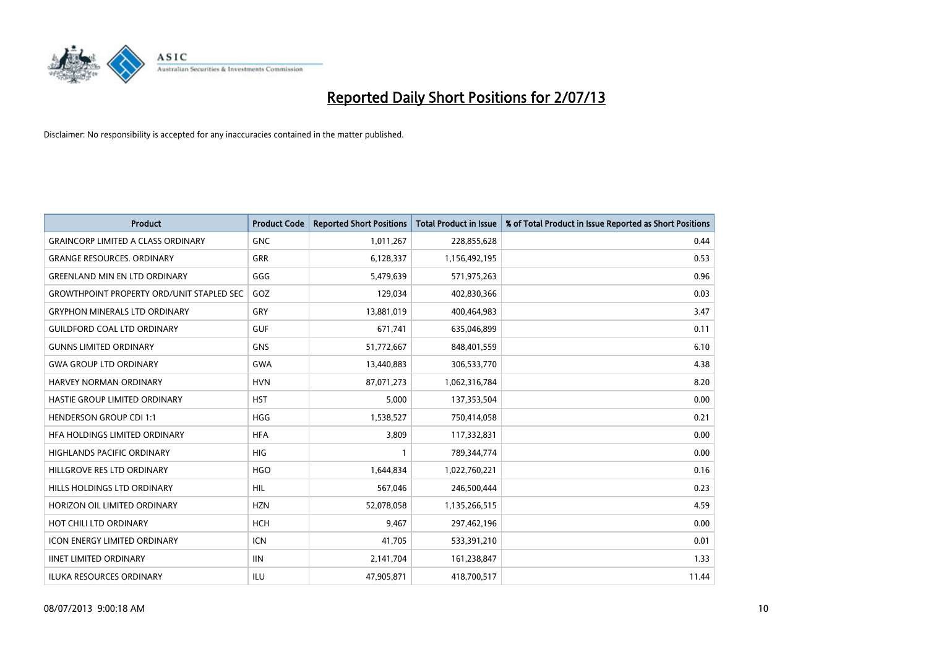

| <b>Product</b>                                   | <b>Product Code</b> | <b>Reported Short Positions</b> | <b>Total Product in Issue</b> | % of Total Product in Issue Reported as Short Positions |
|--------------------------------------------------|---------------------|---------------------------------|-------------------------------|---------------------------------------------------------|
| <b>GRAINCORP LIMITED A CLASS ORDINARY</b>        | <b>GNC</b>          | 1,011,267                       | 228,855,628                   | 0.44                                                    |
| <b>GRANGE RESOURCES. ORDINARY</b>                | GRR                 | 6,128,337                       | 1,156,492,195                 | 0.53                                                    |
| <b>GREENLAND MIN EN LTD ORDINARY</b>             | GGG                 | 5,479,639                       | 571,975,263                   | 0.96                                                    |
| <b>GROWTHPOINT PROPERTY ORD/UNIT STAPLED SEC</b> | GOZ                 | 129,034                         | 402,830,366                   | 0.03                                                    |
| <b>GRYPHON MINERALS LTD ORDINARY</b>             | GRY                 | 13,881,019                      | 400,464,983                   | 3.47                                                    |
| <b>GUILDFORD COAL LTD ORDINARY</b>               | <b>GUF</b>          | 671,741                         | 635,046,899                   | 0.11                                                    |
| <b>GUNNS LIMITED ORDINARY</b>                    | <b>GNS</b>          | 51,772,667                      | 848,401,559                   | 6.10                                                    |
| <b>GWA GROUP LTD ORDINARY</b>                    | <b>GWA</b>          | 13,440,883                      | 306,533,770                   | 4.38                                                    |
| <b>HARVEY NORMAN ORDINARY</b>                    | <b>HVN</b>          | 87,071,273                      | 1,062,316,784                 | 8.20                                                    |
| HASTIE GROUP LIMITED ORDINARY                    | <b>HST</b>          | 5,000                           | 137,353,504                   | 0.00                                                    |
| <b>HENDERSON GROUP CDI 1:1</b>                   | <b>HGG</b>          | 1,538,527                       | 750,414,058                   | 0.21                                                    |
| HFA HOLDINGS LIMITED ORDINARY                    | <b>HFA</b>          | 3,809                           | 117,332,831                   | 0.00                                                    |
| HIGHLANDS PACIFIC ORDINARY                       | <b>HIG</b>          | $\mathbf{1}$                    | 789,344,774                   | 0.00                                                    |
| HILLGROVE RES LTD ORDINARY                       | <b>HGO</b>          | 1,644,834                       | 1,022,760,221                 | 0.16                                                    |
| HILLS HOLDINGS LTD ORDINARY                      | <b>HIL</b>          | 567,046                         | 246,500,444                   | 0.23                                                    |
| HORIZON OIL LIMITED ORDINARY                     | <b>HZN</b>          | 52,078,058                      | 1,135,266,515                 | 4.59                                                    |
| HOT CHILI LTD ORDINARY                           | <b>HCH</b>          | 9,467                           | 297,462,196                   | 0.00                                                    |
| <b>ICON ENERGY LIMITED ORDINARY</b>              | <b>ICN</b>          | 41,705                          | 533,391,210                   | 0.01                                                    |
| <b>IINET LIMITED ORDINARY</b>                    | <b>IIN</b>          | 2,141,704                       | 161,238,847                   | 1.33                                                    |
| ILUKA RESOURCES ORDINARY                         | ILU                 | 47,905,871                      | 418,700,517                   | 11.44                                                   |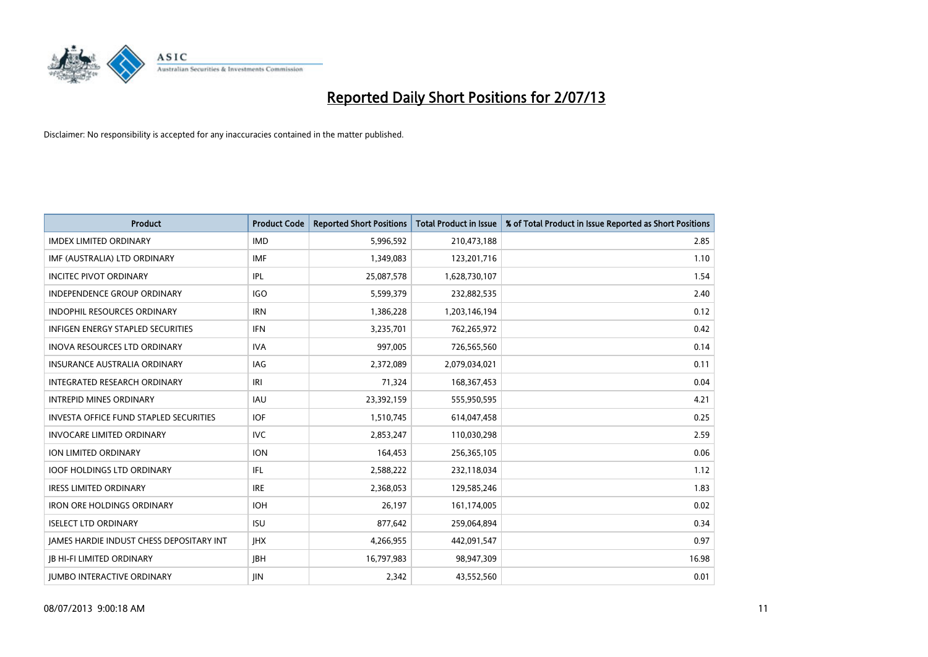

| <b>Product</b>                                | <b>Product Code</b> | <b>Reported Short Positions</b> | <b>Total Product in Issue</b> | % of Total Product in Issue Reported as Short Positions |
|-----------------------------------------------|---------------------|---------------------------------|-------------------------------|---------------------------------------------------------|
| <b>IMDEX LIMITED ORDINARY</b>                 | <b>IMD</b>          | 5,996,592                       | 210,473,188                   | 2.85                                                    |
| IMF (AUSTRALIA) LTD ORDINARY                  | <b>IMF</b>          | 1,349,083                       | 123,201,716                   | 1.10                                                    |
| <b>INCITEC PIVOT ORDINARY</b>                 | IPL                 | 25,087,578                      | 1,628,730,107                 | 1.54                                                    |
| INDEPENDENCE GROUP ORDINARY                   | <b>IGO</b>          | 5,599,379                       | 232,882,535                   | 2.40                                                    |
| <b>INDOPHIL RESOURCES ORDINARY</b>            | <b>IRN</b>          | 1,386,228                       | 1,203,146,194                 | 0.12                                                    |
| <b>INFIGEN ENERGY STAPLED SECURITIES</b>      | <b>IFN</b>          | 3,235,701                       | 762,265,972                   | 0.42                                                    |
| <b>INOVA RESOURCES LTD ORDINARY</b>           | <b>IVA</b>          | 997,005                         | 726,565,560                   | 0.14                                                    |
| INSURANCE AUSTRALIA ORDINARY                  | IAG                 | 2,372,089                       | 2,079,034,021                 | 0.11                                                    |
| INTEGRATED RESEARCH ORDINARY                  | IRI                 | 71,324                          | 168, 367, 453                 | 0.04                                                    |
| <b>INTREPID MINES ORDINARY</b>                | <b>IAU</b>          | 23,392,159                      | 555,950,595                   | 4.21                                                    |
| <b>INVESTA OFFICE FUND STAPLED SECURITIES</b> | <b>IOF</b>          | 1,510,745                       | 614,047,458                   | 0.25                                                    |
| <b>INVOCARE LIMITED ORDINARY</b>              | <b>IVC</b>          | 2,853,247                       | 110,030,298                   | 2.59                                                    |
| ION LIMITED ORDINARY                          | <b>ION</b>          | 164,453                         | 256,365,105                   | 0.06                                                    |
| <b>IOOF HOLDINGS LTD ORDINARY</b>             | IFL                 | 2,588,222                       | 232,118,034                   | 1.12                                                    |
| <b>IRESS LIMITED ORDINARY</b>                 | <b>IRE</b>          | 2,368,053                       | 129,585,246                   | 1.83                                                    |
| <b>IRON ORE HOLDINGS ORDINARY</b>             | <b>IOH</b>          | 26,197                          | 161,174,005                   | 0.02                                                    |
| <b>ISELECT LTD ORDINARY</b>                   | <b>ISU</b>          | 877,642                         | 259,064,894                   | 0.34                                                    |
| JAMES HARDIE INDUST CHESS DEPOSITARY INT      | <b>IHX</b>          | 4,266,955                       | 442,091,547                   | 0.97                                                    |
| <b>JB HI-FI LIMITED ORDINARY</b>              | <b>JBH</b>          | 16,797,983                      | 98,947,309                    | 16.98                                                   |
| <b>JUMBO INTERACTIVE ORDINARY</b>             | <b>JIN</b>          | 2,342                           | 43,552,560                    | 0.01                                                    |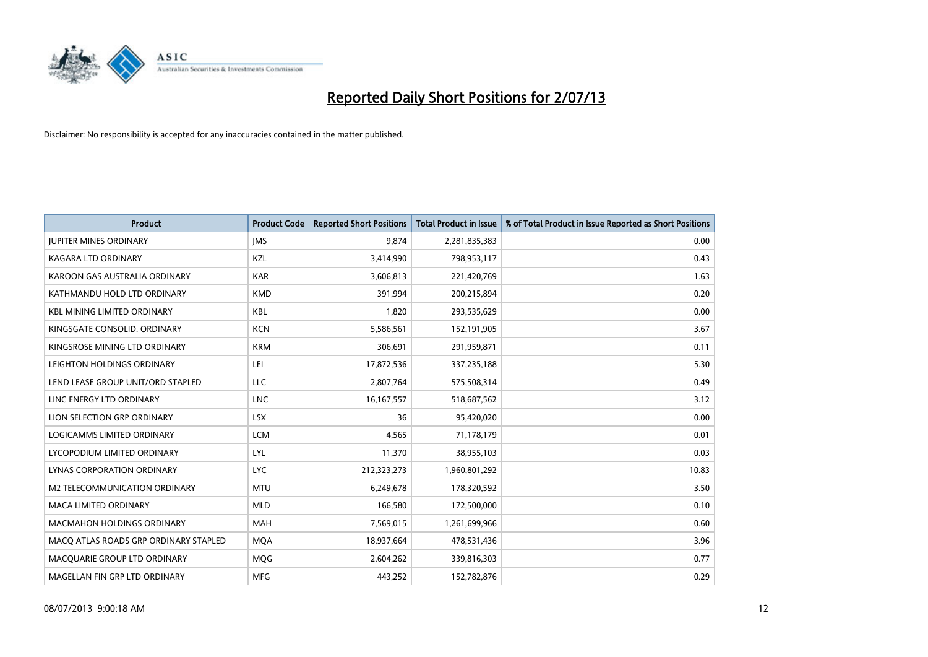

| <b>Product</b>                        | <b>Product Code</b> | <b>Reported Short Positions</b> | <b>Total Product in Issue</b> | % of Total Product in Issue Reported as Short Positions |
|---------------------------------------|---------------------|---------------------------------|-------------------------------|---------------------------------------------------------|
| <b>JUPITER MINES ORDINARY</b>         | <b>IMS</b>          | 9,874                           | 2,281,835,383                 | 0.00                                                    |
| KAGARA LTD ORDINARY                   | KZL                 | 3,414,990                       | 798,953,117                   | 0.43                                                    |
| KAROON GAS AUSTRALIA ORDINARY         | <b>KAR</b>          | 3,606,813                       | 221,420,769                   | 1.63                                                    |
| KATHMANDU HOLD LTD ORDINARY           | <b>KMD</b>          | 391,994                         | 200,215,894                   | 0.20                                                    |
| <b>KBL MINING LIMITED ORDINARY</b>    | <b>KBL</b>          | 1,820                           | 293,535,629                   | 0.00                                                    |
| KINGSGATE CONSOLID, ORDINARY          | <b>KCN</b>          | 5,586,561                       | 152,191,905                   | 3.67                                                    |
| KINGSROSE MINING LTD ORDINARY         | <b>KRM</b>          | 306,691                         | 291,959,871                   | 0.11                                                    |
| LEIGHTON HOLDINGS ORDINARY            | LEI                 | 17,872,536                      | 337,235,188                   | 5.30                                                    |
| LEND LEASE GROUP UNIT/ORD STAPLED     | LLC                 | 2,807,764                       | 575,508,314                   | 0.49                                                    |
| LINC ENERGY LTD ORDINARY              | <b>LNC</b>          | 16, 167, 557                    | 518,687,562                   | 3.12                                                    |
| LION SELECTION GRP ORDINARY           | <b>LSX</b>          | 36                              | 95,420,020                    | 0.00                                                    |
| LOGICAMMS LIMITED ORDINARY            | <b>LCM</b>          | 4,565                           | 71,178,179                    | 0.01                                                    |
| LYCOPODIUM LIMITED ORDINARY           | <b>LYL</b>          | 11,370                          | 38,955,103                    | 0.03                                                    |
| LYNAS CORPORATION ORDINARY            | <b>LYC</b>          | 212,323,273                     | 1,960,801,292                 | 10.83                                                   |
| M2 TELECOMMUNICATION ORDINARY         | <b>MTU</b>          | 6,249,678                       | 178,320,592                   | 3.50                                                    |
| <b>MACA LIMITED ORDINARY</b>          | <b>MLD</b>          | 166,580                         | 172,500,000                   | 0.10                                                    |
| <b>MACMAHON HOLDINGS ORDINARY</b>     | MAH                 | 7,569,015                       | 1,261,699,966                 | 0.60                                                    |
| MACQ ATLAS ROADS GRP ORDINARY STAPLED | <b>MOA</b>          | 18,937,664                      | 478,531,436                   | 3.96                                                    |
| MACQUARIE GROUP LTD ORDINARY          | <b>MOG</b>          | 2,604,262                       | 339,816,303                   | 0.77                                                    |
| MAGELLAN FIN GRP LTD ORDINARY         | <b>MFG</b>          | 443,252                         | 152,782,876                   | 0.29                                                    |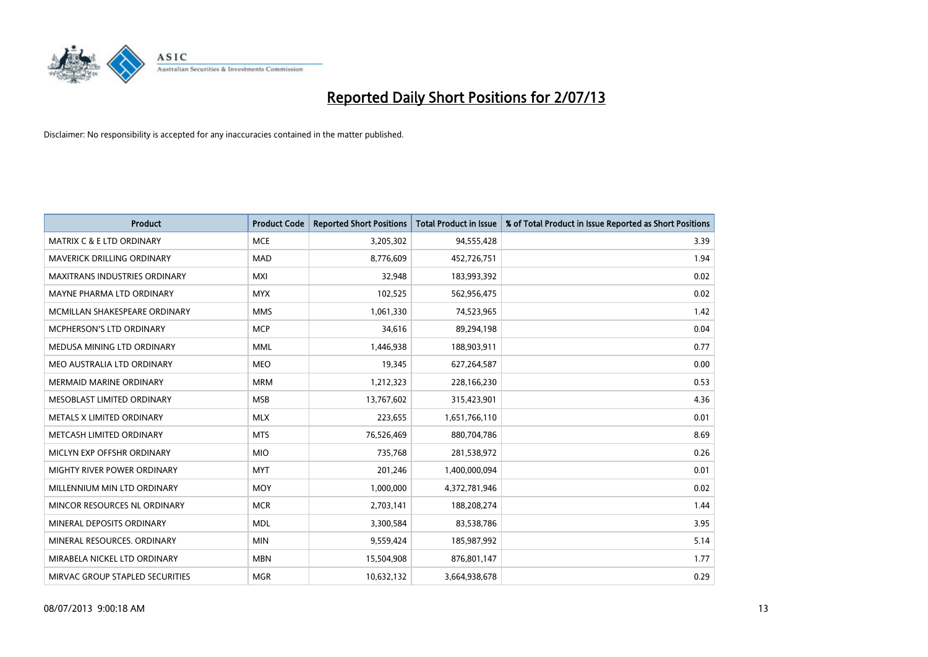

| <b>Product</b>                       | <b>Product Code</b> | <b>Reported Short Positions</b> | <b>Total Product in Issue</b> | % of Total Product in Issue Reported as Short Positions |
|--------------------------------------|---------------------|---------------------------------|-------------------------------|---------------------------------------------------------|
| <b>MATRIX C &amp; E LTD ORDINARY</b> | <b>MCE</b>          | 3,205,302                       | 94,555,428                    | 3.39                                                    |
| MAVERICK DRILLING ORDINARY           | <b>MAD</b>          | 8,776,609                       | 452,726,751                   | 1.94                                                    |
| <b>MAXITRANS INDUSTRIES ORDINARY</b> | <b>MXI</b>          | 32,948                          | 183,993,392                   | 0.02                                                    |
| MAYNE PHARMA LTD ORDINARY            | <b>MYX</b>          | 102,525                         | 562,956,475                   | 0.02                                                    |
| MCMILLAN SHAKESPEARE ORDINARY        | <b>MMS</b>          | 1,061,330                       | 74,523,965                    | 1.42                                                    |
| MCPHERSON'S LTD ORDINARY             | <b>MCP</b>          | 34,616                          | 89,294,198                    | 0.04                                                    |
| MEDUSA MINING LTD ORDINARY           | <b>MML</b>          | 1,446,938                       | 188,903,911                   | 0.77                                                    |
| MEO AUSTRALIA LTD ORDINARY           | <b>MEO</b>          | 19,345                          | 627,264,587                   | 0.00                                                    |
| <b>MERMAID MARINE ORDINARY</b>       | <b>MRM</b>          | 1,212,323                       | 228,166,230                   | 0.53                                                    |
| MESOBLAST LIMITED ORDINARY           | <b>MSB</b>          | 13,767,602                      | 315,423,901                   | 4.36                                                    |
| METALS X LIMITED ORDINARY            | <b>MLX</b>          | 223,655                         | 1,651,766,110                 | 0.01                                                    |
| METCASH LIMITED ORDINARY             | <b>MTS</b>          | 76,526,469                      | 880,704,786                   | 8.69                                                    |
| MICLYN EXP OFFSHR ORDINARY           | <b>MIO</b>          | 735,768                         | 281,538,972                   | 0.26                                                    |
| MIGHTY RIVER POWER ORDINARY          | <b>MYT</b>          | 201,246                         | 1,400,000,094                 | 0.01                                                    |
| MILLENNIUM MIN LTD ORDINARY          | <b>MOY</b>          | 1,000,000                       | 4,372,781,946                 | 0.02                                                    |
| MINCOR RESOURCES NL ORDINARY         | <b>MCR</b>          | 2,703,141                       | 188,208,274                   | 1.44                                                    |
| MINERAL DEPOSITS ORDINARY            | <b>MDL</b>          | 3,300,584                       | 83,538,786                    | 3.95                                                    |
| MINERAL RESOURCES. ORDINARY          | <b>MIN</b>          | 9,559,424                       | 185,987,992                   | 5.14                                                    |
| MIRABELA NICKEL LTD ORDINARY         | <b>MBN</b>          | 15,504,908                      | 876,801,147                   | 1.77                                                    |
| MIRVAC GROUP STAPLED SECURITIES      | <b>MGR</b>          | 10,632,132                      | 3,664,938,678                 | 0.29                                                    |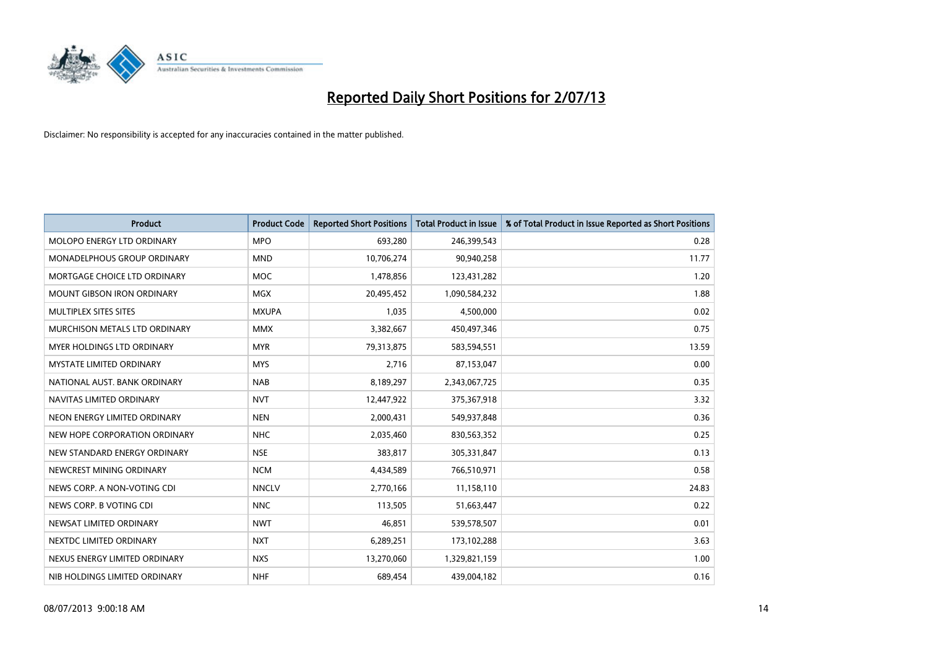

| <b>Product</b>                    | <b>Product Code</b> | <b>Reported Short Positions</b> | <b>Total Product in Issue</b> | % of Total Product in Issue Reported as Short Positions |
|-----------------------------------|---------------------|---------------------------------|-------------------------------|---------------------------------------------------------|
| MOLOPO ENERGY LTD ORDINARY        | <b>MPO</b>          | 693,280                         | 246,399,543                   | 0.28                                                    |
| MONADELPHOUS GROUP ORDINARY       | <b>MND</b>          | 10,706,274                      | 90,940,258                    | 11.77                                                   |
| MORTGAGE CHOICE LTD ORDINARY      | <b>MOC</b>          | 1,478,856                       | 123,431,282                   | 1.20                                                    |
| <b>MOUNT GIBSON IRON ORDINARY</b> | <b>MGX</b>          | 20,495,452                      | 1,090,584,232                 | 1.88                                                    |
| MULTIPLEX SITES SITES             | <b>MXUPA</b>        | 1,035                           | 4,500,000                     | 0.02                                                    |
| MURCHISON METALS LTD ORDINARY     | <b>MMX</b>          | 3,382,667                       | 450,497,346                   | 0.75                                                    |
| MYER HOLDINGS LTD ORDINARY        | <b>MYR</b>          | 79,313,875                      | 583,594,551                   | 13.59                                                   |
| MYSTATE LIMITED ORDINARY          | <b>MYS</b>          | 2,716                           | 87,153,047                    | 0.00                                                    |
| NATIONAL AUST, BANK ORDINARY      | <b>NAB</b>          | 8,189,297                       | 2,343,067,725                 | 0.35                                                    |
| NAVITAS LIMITED ORDINARY          | <b>NVT</b>          | 12,447,922                      | 375,367,918                   | 3.32                                                    |
| NEON ENERGY LIMITED ORDINARY      | <b>NEN</b>          | 2,000,431                       | 549,937,848                   | 0.36                                                    |
| NEW HOPE CORPORATION ORDINARY     | <b>NHC</b>          | 2,035,460                       | 830,563,352                   | 0.25                                                    |
| NEW STANDARD ENERGY ORDINARY      | <b>NSE</b>          | 383,817                         | 305,331,847                   | 0.13                                                    |
| NEWCREST MINING ORDINARY          | <b>NCM</b>          | 4,434,589                       | 766,510,971                   | 0.58                                                    |
| NEWS CORP. A NON-VOTING CDI       | <b>NNCLV</b>        | 2,770,166                       | 11,158,110                    | 24.83                                                   |
| NEWS CORP. B VOTING CDI           | <b>NNC</b>          | 113,505                         | 51,663,447                    | 0.22                                                    |
| NEWSAT LIMITED ORDINARY           | <b>NWT</b>          | 46,851                          | 539,578,507                   | 0.01                                                    |
| NEXTDC LIMITED ORDINARY           | <b>NXT</b>          | 6,289,251                       | 173,102,288                   | 3.63                                                    |
| NEXUS ENERGY LIMITED ORDINARY     | <b>NXS</b>          | 13,270,060                      | 1,329,821,159                 | 1.00                                                    |
| NIB HOLDINGS LIMITED ORDINARY     | <b>NHF</b>          | 689,454                         | 439,004,182                   | 0.16                                                    |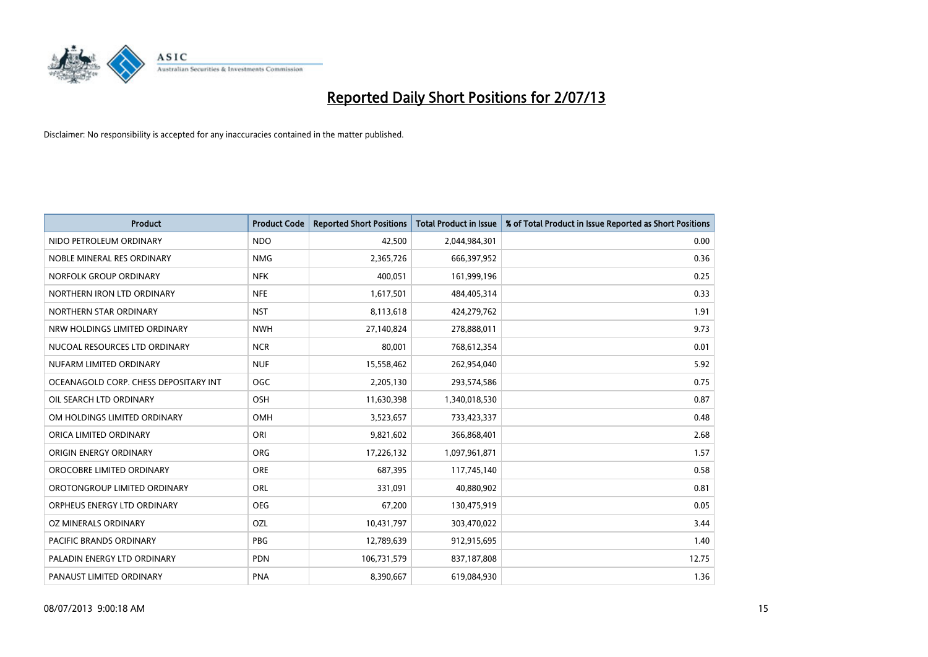

| <b>Product</b>                        | <b>Product Code</b> | <b>Reported Short Positions</b> | <b>Total Product in Issue</b> | % of Total Product in Issue Reported as Short Positions |
|---------------------------------------|---------------------|---------------------------------|-------------------------------|---------------------------------------------------------|
| NIDO PETROLEUM ORDINARY               | <b>NDO</b>          | 42,500                          | 2,044,984,301                 | 0.00                                                    |
| NOBLE MINERAL RES ORDINARY            | <b>NMG</b>          | 2,365,726                       | 666,397,952                   | 0.36                                                    |
| NORFOLK GROUP ORDINARY                | <b>NFK</b>          | 400,051                         | 161,999,196                   | 0.25                                                    |
| NORTHERN IRON LTD ORDINARY            | <b>NFE</b>          | 1,617,501                       | 484,405,314                   | 0.33                                                    |
| NORTHERN STAR ORDINARY                | <b>NST</b>          | 8,113,618                       | 424,279,762                   | 1.91                                                    |
| NRW HOLDINGS LIMITED ORDINARY         | <b>NWH</b>          | 27,140,824                      | 278,888,011                   | 9.73                                                    |
| NUCOAL RESOURCES LTD ORDINARY         | <b>NCR</b>          | 80,001                          | 768,612,354                   | 0.01                                                    |
| NUFARM LIMITED ORDINARY               | <b>NUF</b>          | 15,558,462                      | 262,954,040                   | 5.92                                                    |
| OCEANAGOLD CORP. CHESS DEPOSITARY INT | <b>OGC</b>          | 2,205,130                       | 293,574,586                   | 0.75                                                    |
| OIL SEARCH LTD ORDINARY               | OSH                 | 11,630,398                      | 1,340,018,530                 | 0.87                                                    |
| OM HOLDINGS LIMITED ORDINARY          | <b>OMH</b>          | 3,523,657                       | 733,423,337                   | 0.48                                                    |
| ORICA LIMITED ORDINARY                | ORI                 | 9,821,602                       | 366,868,401                   | 2.68                                                    |
| ORIGIN ENERGY ORDINARY                | <b>ORG</b>          | 17,226,132                      | 1,097,961,871                 | 1.57                                                    |
| OROCOBRE LIMITED ORDINARY             | <b>ORE</b>          | 687,395                         | 117,745,140                   | 0.58                                                    |
| OROTONGROUP LIMITED ORDINARY          | ORL                 | 331,091                         | 40,880,902                    | 0.81                                                    |
| ORPHEUS ENERGY LTD ORDINARY           | <b>OEG</b>          | 67,200                          | 130,475,919                   | 0.05                                                    |
| OZ MINERALS ORDINARY                  | OZL                 | 10,431,797                      | 303,470,022                   | 3.44                                                    |
| <b>PACIFIC BRANDS ORDINARY</b>        | <b>PBG</b>          | 12,789,639                      | 912,915,695                   | 1.40                                                    |
| PALADIN ENERGY LTD ORDINARY           | <b>PDN</b>          | 106,731,579                     | 837,187,808                   | 12.75                                                   |
| PANAUST LIMITED ORDINARY              | <b>PNA</b>          | 8,390,667                       | 619,084,930                   | 1.36                                                    |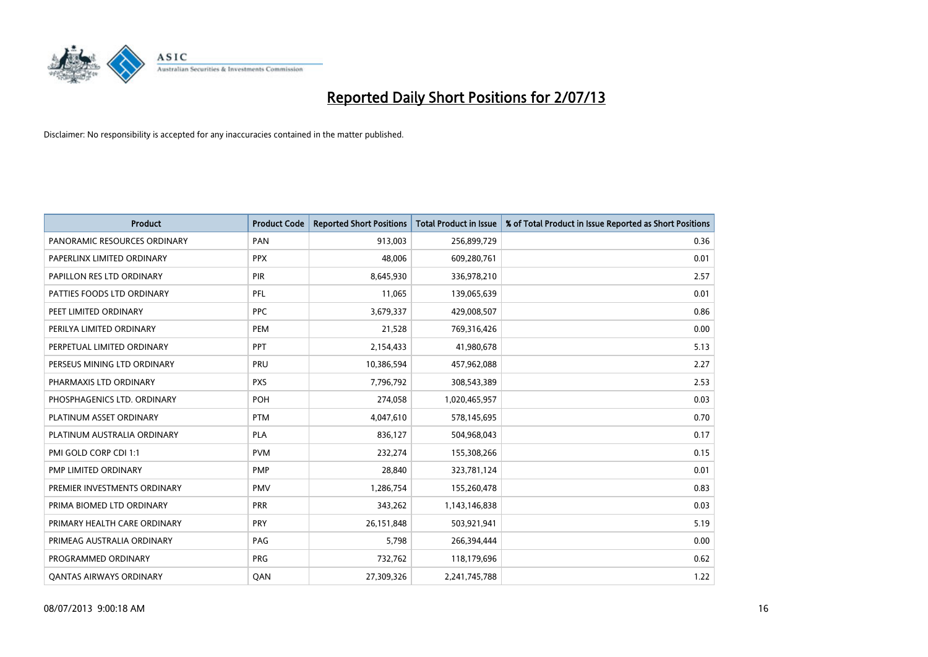

| <b>Product</b>                 | <b>Product Code</b> | <b>Reported Short Positions</b> | <b>Total Product in Issue</b> | % of Total Product in Issue Reported as Short Positions |
|--------------------------------|---------------------|---------------------------------|-------------------------------|---------------------------------------------------------|
| PANORAMIC RESOURCES ORDINARY   | PAN                 | 913,003                         | 256,899,729                   | 0.36                                                    |
| PAPERLINX LIMITED ORDINARY     | <b>PPX</b>          | 48,006                          | 609,280,761                   | 0.01                                                    |
| PAPILLON RES LTD ORDINARY      | <b>PIR</b>          | 8,645,930                       | 336,978,210                   | 2.57                                                    |
| PATTIES FOODS LTD ORDINARY     | PFL                 | 11,065                          | 139,065,639                   | 0.01                                                    |
| PEET LIMITED ORDINARY          | <b>PPC</b>          | 3,679,337                       | 429,008,507                   | 0.86                                                    |
| PERILYA LIMITED ORDINARY       | PEM                 | 21,528                          | 769,316,426                   | 0.00                                                    |
| PERPETUAL LIMITED ORDINARY     | <b>PPT</b>          | 2,154,433                       | 41,980,678                    | 5.13                                                    |
| PERSEUS MINING LTD ORDINARY    | PRU                 | 10,386,594                      | 457,962,088                   | 2.27                                                    |
| PHARMAXIS LTD ORDINARY         | <b>PXS</b>          | 7,796,792                       | 308,543,389                   | 2.53                                                    |
| PHOSPHAGENICS LTD. ORDINARY    | <b>POH</b>          | 274,058                         | 1,020,465,957                 | 0.03                                                    |
| PLATINUM ASSET ORDINARY        | <b>PTM</b>          | 4,047,610                       | 578,145,695                   | 0.70                                                    |
| PLATINUM AUSTRALIA ORDINARY    | <b>PLA</b>          | 836,127                         | 504,968,043                   | 0.17                                                    |
| PMI GOLD CORP CDI 1:1          | <b>PVM</b>          | 232,274                         | 155,308,266                   | 0.15                                                    |
| PMP LIMITED ORDINARY           | <b>PMP</b>          | 28,840                          | 323,781,124                   | 0.01                                                    |
| PREMIER INVESTMENTS ORDINARY   | <b>PMV</b>          | 1,286,754                       | 155,260,478                   | 0.83                                                    |
| PRIMA BIOMED LTD ORDINARY      | <b>PRR</b>          | 343,262                         | 1,143,146,838                 | 0.03                                                    |
| PRIMARY HEALTH CARE ORDINARY   | <b>PRY</b>          | 26, 151, 848                    | 503,921,941                   | 5.19                                                    |
| PRIMEAG AUSTRALIA ORDINARY     | PAG                 | 5,798                           | 266,394,444                   | 0.00                                                    |
| PROGRAMMED ORDINARY            | <b>PRG</b>          | 732,762                         | 118,179,696                   | 0.62                                                    |
| <b>QANTAS AIRWAYS ORDINARY</b> | QAN                 | 27,309,326                      | 2,241,745,788                 | 1.22                                                    |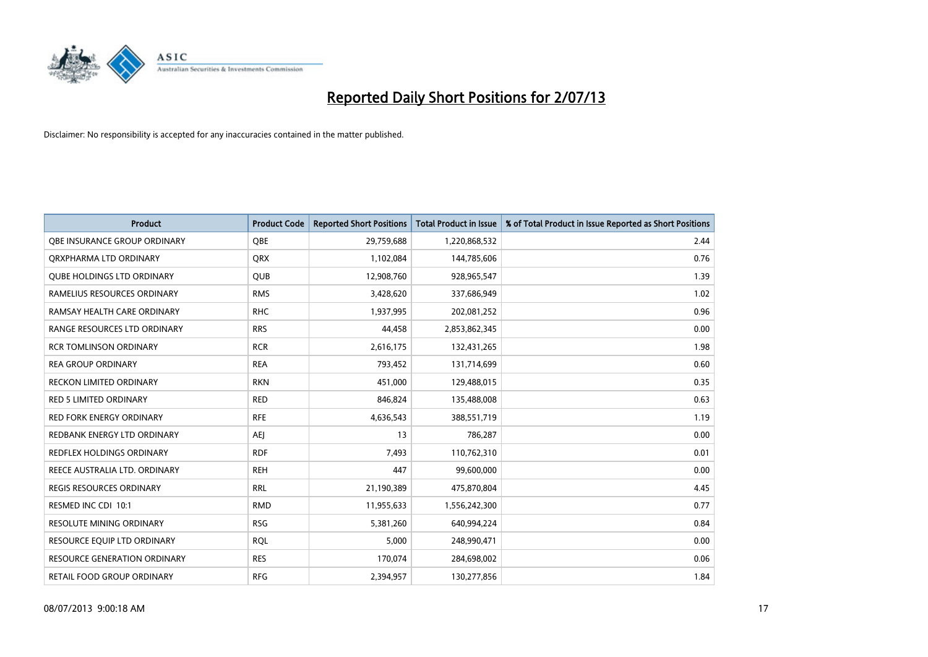

| <b>Product</b>                      | <b>Product Code</b> | <b>Reported Short Positions</b> | <b>Total Product in Issue</b> | % of Total Product in Issue Reported as Short Positions |
|-------------------------------------|---------------------|---------------------------------|-------------------------------|---------------------------------------------------------|
| OBE INSURANCE GROUP ORDINARY        | <b>OBE</b>          | 29,759,688                      | 1,220,868,532                 | 2.44                                                    |
| ORXPHARMA LTD ORDINARY              | QRX                 | 1,102,084                       | 144,785,606                   | 0.76                                                    |
| <b>QUBE HOLDINGS LTD ORDINARY</b>   | <b>QUB</b>          | 12,908,760                      | 928,965,547                   | 1.39                                                    |
| RAMELIUS RESOURCES ORDINARY         | <b>RMS</b>          | 3,428,620                       | 337,686,949                   | 1.02                                                    |
| RAMSAY HEALTH CARE ORDINARY         | <b>RHC</b>          | 1,937,995                       | 202,081,252                   | 0.96                                                    |
| RANGE RESOURCES LTD ORDINARY        | <b>RRS</b>          | 44,458                          | 2,853,862,345                 | 0.00                                                    |
| <b>RCR TOMLINSON ORDINARY</b>       | <b>RCR</b>          | 2,616,175                       | 132,431,265                   | 1.98                                                    |
| <b>REA GROUP ORDINARY</b>           | <b>REA</b>          | 793,452                         | 131,714,699                   | 0.60                                                    |
| <b>RECKON LIMITED ORDINARY</b>      | <b>RKN</b>          | 451,000                         | 129,488,015                   | 0.35                                                    |
| <b>RED 5 LIMITED ORDINARY</b>       | <b>RED</b>          | 846,824                         | 135,488,008                   | 0.63                                                    |
| <b>RED FORK ENERGY ORDINARY</b>     | <b>RFE</b>          | 4,636,543                       | 388,551,719                   | 1.19                                                    |
| REDBANK ENERGY LTD ORDINARY         | AEJ                 | 13                              | 786,287                       | 0.00                                                    |
| <b>REDFLEX HOLDINGS ORDINARY</b>    | <b>RDF</b>          | 7,493                           | 110,762,310                   | 0.01                                                    |
| REECE AUSTRALIA LTD. ORDINARY       | <b>REH</b>          | 447                             | 99,600,000                    | 0.00                                                    |
| <b>REGIS RESOURCES ORDINARY</b>     | <b>RRL</b>          | 21,190,389                      | 475,870,804                   | 4.45                                                    |
| RESMED INC CDI 10:1                 | <b>RMD</b>          | 11,955,633                      | 1,556,242,300                 | 0.77                                                    |
| RESOLUTE MINING ORDINARY            | <b>RSG</b>          | 5,381,260                       | 640,994,224                   | 0.84                                                    |
| RESOURCE EQUIP LTD ORDINARY         | <b>RQL</b>          | 5,000                           | 248,990,471                   | 0.00                                                    |
| <b>RESOURCE GENERATION ORDINARY</b> | <b>RES</b>          | 170,074                         | 284,698,002                   | 0.06                                                    |
| RETAIL FOOD GROUP ORDINARY          | <b>RFG</b>          | 2,394,957                       | 130,277,856                   | 1.84                                                    |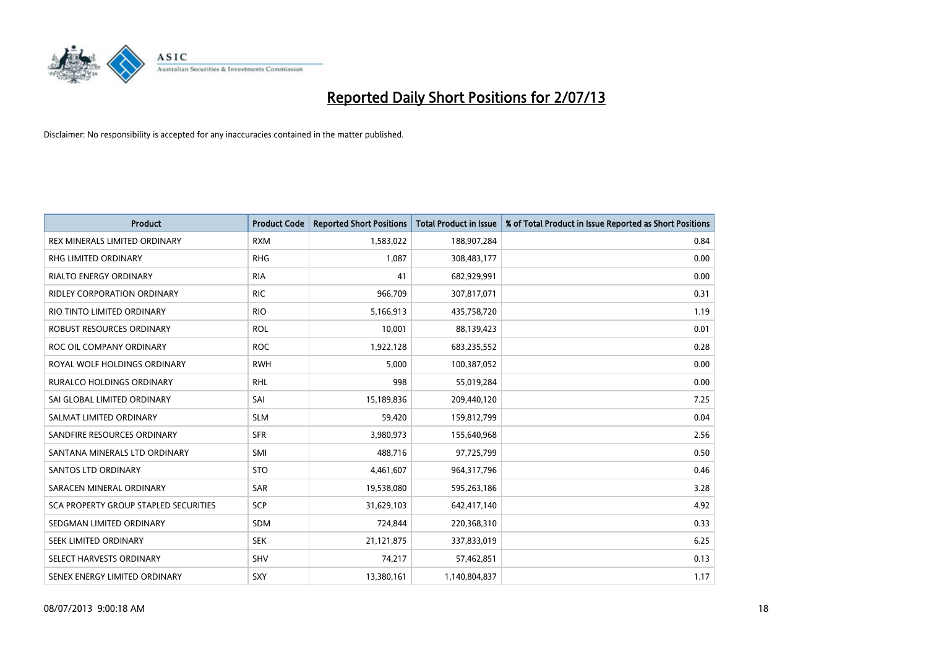

| <b>Product</b>                        | <b>Product Code</b> | <b>Reported Short Positions</b> | <b>Total Product in Issue</b> | % of Total Product in Issue Reported as Short Positions |
|---------------------------------------|---------------------|---------------------------------|-------------------------------|---------------------------------------------------------|
| REX MINERALS LIMITED ORDINARY         | <b>RXM</b>          | 1,583,022                       | 188,907,284                   | 0.84                                                    |
| RHG LIMITED ORDINARY                  | <b>RHG</b>          | 1,087                           | 308,483,177                   | 0.00                                                    |
| <b>RIALTO ENERGY ORDINARY</b>         | <b>RIA</b>          | 41                              | 682,929,991                   | 0.00                                                    |
| <b>RIDLEY CORPORATION ORDINARY</b>    | <b>RIC</b>          | 966,709                         | 307,817,071                   | 0.31                                                    |
| RIO TINTO LIMITED ORDINARY            | <b>RIO</b>          | 5,166,913                       | 435,758,720                   | 1.19                                                    |
| ROBUST RESOURCES ORDINARY             | <b>ROL</b>          | 10,001                          | 88,139,423                    | 0.01                                                    |
| ROC OIL COMPANY ORDINARY              | <b>ROC</b>          | 1,922,128                       | 683,235,552                   | 0.28                                                    |
| ROYAL WOLF HOLDINGS ORDINARY          | <b>RWH</b>          | 5,000                           | 100,387,052                   | 0.00                                                    |
| <b>RURALCO HOLDINGS ORDINARY</b>      | <b>RHL</b>          | 998                             | 55,019,284                    | 0.00                                                    |
| SAI GLOBAL LIMITED ORDINARY           | SAI                 | 15,189,836                      | 209,440,120                   | 7.25                                                    |
| SALMAT LIMITED ORDINARY               | <b>SLM</b>          | 59,420                          | 159,812,799                   | 0.04                                                    |
| SANDFIRE RESOURCES ORDINARY           | <b>SFR</b>          | 3,980,973                       | 155,640,968                   | 2.56                                                    |
| SANTANA MINERALS LTD ORDINARY         | SMI                 | 488,716                         | 97,725,799                    | 0.50                                                    |
| SANTOS LTD ORDINARY                   | <b>STO</b>          | 4,461,607                       | 964,317,796                   | 0.46                                                    |
| SARACEN MINERAL ORDINARY              | <b>SAR</b>          | 19,538,080                      | 595,263,186                   | 3.28                                                    |
| SCA PROPERTY GROUP STAPLED SECURITIES | SCP                 | 31,629,103                      | 642,417,140                   | 4.92                                                    |
| SEDGMAN LIMITED ORDINARY              | SDM                 | 724,844                         | 220,368,310                   | 0.33                                                    |
| SEEK LIMITED ORDINARY                 | <b>SEK</b>          | 21,121,875                      | 337,833,019                   | 6.25                                                    |
| SELECT HARVESTS ORDINARY              | SHV                 | 74,217                          | 57,462,851                    | 0.13                                                    |
| SENEX ENERGY LIMITED ORDINARY         | SXY                 | 13,380,161                      | 1,140,804,837                 | 1.17                                                    |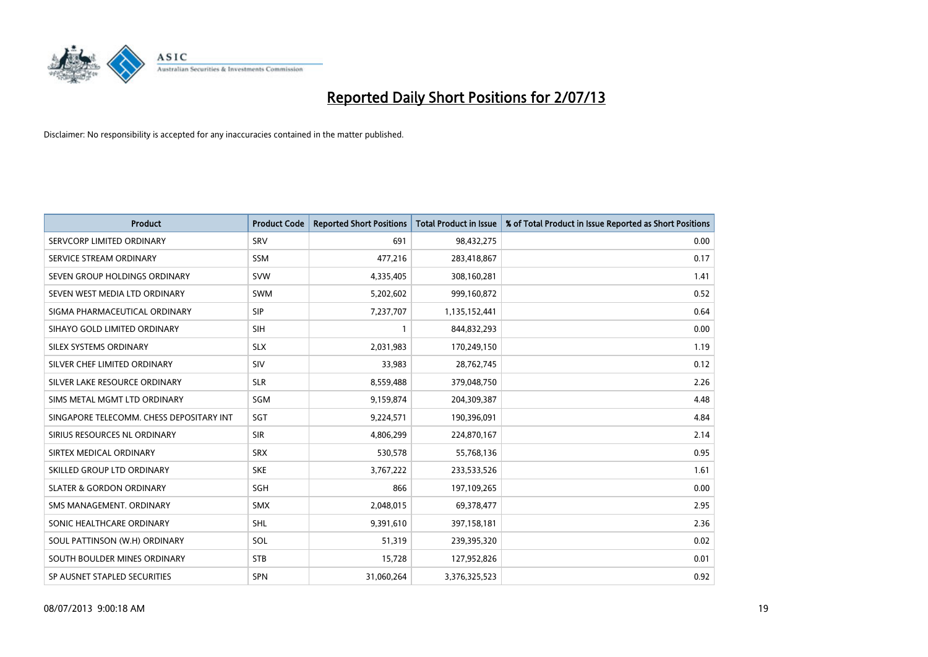

| <b>Product</b>                           | <b>Product Code</b> | <b>Reported Short Positions</b> | <b>Total Product in Issue</b> | % of Total Product in Issue Reported as Short Positions |
|------------------------------------------|---------------------|---------------------------------|-------------------------------|---------------------------------------------------------|
| SERVCORP LIMITED ORDINARY                | SRV                 | 691                             | 98,432,275                    | 0.00                                                    |
| SERVICE STREAM ORDINARY                  | <b>SSM</b>          | 477,216                         | 283,418,867                   | 0.17                                                    |
| SEVEN GROUP HOLDINGS ORDINARY            | <b>SVW</b>          | 4,335,405                       | 308,160,281                   | 1.41                                                    |
| SEVEN WEST MEDIA LTD ORDINARY            | <b>SWM</b>          | 5,202,602                       | 999,160,872                   | 0.52                                                    |
| SIGMA PHARMACEUTICAL ORDINARY            | <b>SIP</b>          | 7,237,707                       | 1,135,152,441                 | 0.64                                                    |
| SIHAYO GOLD LIMITED ORDINARY             | SIH                 | $\mathbf{1}$                    | 844,832,293                   | 0.00                                                    |
| SILEX SYSTEMS ORDINARY                   | <b>SLX</b>          | 2,031,983                       | 170,249,150                   | 1.19                                                    |
| SILVER CHEF LIMITED ORDINARY             | SIV                 | 33,983                          | 28,762,745                    | 0.12                                                    |
| SILVER LAKE RESOURCE ORDINARY            | <b>SLR</b>          | 8,559,488                       | 379,048,750                   | 2.26                                                    |
| SIMS METAL MGMT LTD ORDINARY             | SGM                 | 9,159,874                       | 204,309,387                   | 4.48                                                    |
| SINGAPORE TELECOMM. CHESS DEPOSITARY INT | SGT                 | 9,224,571                       | 190,396,091                   | 4.84                                                    |
| SIRIUS RESOURCES NL ORDINARY             | <b>SIR</b>          | 4,806,299                       | 224,870,167                   | 2.14                                                    |
| SIRTEX MEDICAL ORDINARY                  | <b>SRX</b>          | 530,578                         | 55,768,136                    | 0.95                                                    |
| SKILLED GROUP LTD ORDINARY               | <b>SKE</b>          | 3,767,222                       | 233,533,526                   | 1.61                                                    |
| <b>SLATER &amp; GORDON ORDINARY</b>      | SGH                 | 866                             | 197,109,265                   | 0.00                                                    |
| SMS MANAGEMENT. ORDINARY                 | SMX                 | 2,048,015                       | 69,378,477                    | 2.95                                                    |
| SONIC HEALTHCARE ORDINARY                | SHL                 | 9,391,610                       | 397,158,181                   | 2.36                                                    |
| SOUL PATTINSON (W.H) ORDINARY            | SOL                 | 51,319                          | 239,395,320                   | 0.02                                                    |
| SOUTH BOULDER MINES ORDINARY             | <b>STB</b>          | 15,728                          | 127,952,826                   | 0.01                                                    |
| SP AUSNET STAPLED SECURITIES             | SPN                 | 31,060,264                      | 3,376,325,523                 | 0.92                                                    |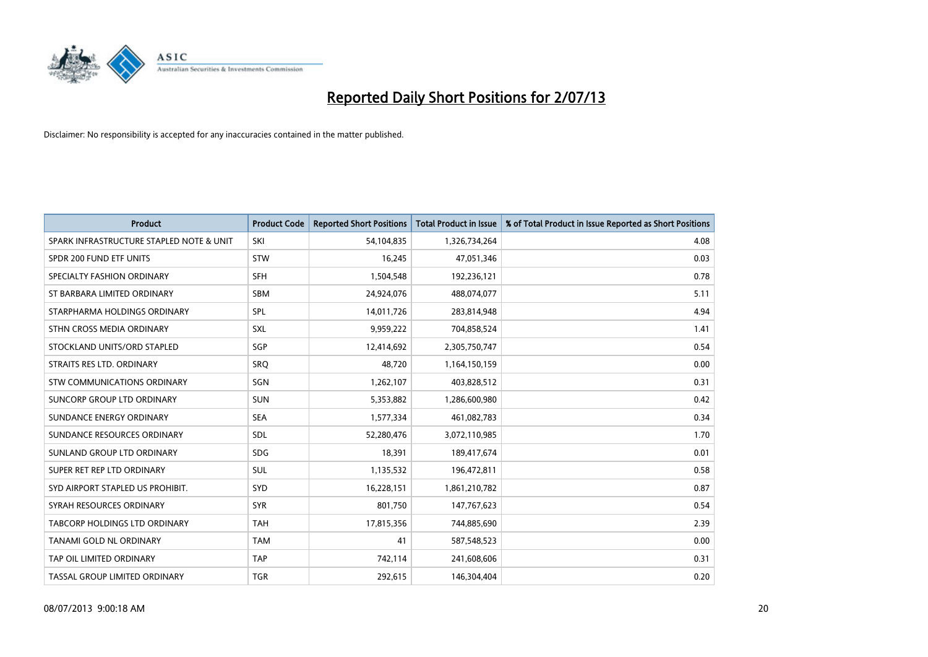

| <b>Product</b>                           | <b>Product Code</b> | <b>Reported Short Positions</b> | <b>Total Product in Issue</b> | % of Total Product in Issue Reported as Short Positions |
|------------------------------------------|---------------------|---------------------------------|-------------------------------|---------------------------------------------------------|
| SPARK INFRASTRUCTURE STAPLED NOTE & UNIT | SKI                 | 54,104,835                      | 1,326,734,264                 | 4.08                                                    |
| SPDR 200 FUND ETF UNITS                  | <b>STW</b>          | 16,245                          | 47,051,346                    | 0.03                                                    |
| SPECIALTY FASHION ORDINARY               | <b>SFH</b>          | 1,504,548                       | 192,236,121                   | 0.78                                                    |
| ST BARBARA LIMITED ORDINARY              | <b>SBM</b>          | 24,924,076                      | 488,074,077                   | 5.11                                                    |
| STARPHARMA HOLDINGS ORDINARY             | SPL                 | 14,011,726                      | 283,814,948                   | 4.94                                                    |
| STHN CROSS MEDIA ORDINARY                | <b>SXL</b>          | 9,959,222                       | 704,858,524                   | 1.41                                                    |
| STOCKLAND UNITS/ORD STAPLED              | SGP                 | 12,414,692                      | 2,305,750,747                 | 0.54                                                    |
| STRAITS RES LTD. ORDINARY                | <b>SRQ</b>          | 48,720                          | 1,164,150,159                 | 0.00                                                    |
| STW COMMUNICATIONS ORDINARY              | SGN                 | 1,262,107                       | 403,828,512                   | 0.31                                                    |
| SUNCORP GROUP LTD ORDINARY               | <b>SUN</b>          | 5,353,882                       | 1,286,600,980                 | 0.42                                                    |
| SUNDANCE ENERGY ORDINARY                 | <b>SEA</b>          | 1,577,334                       | 461,082,783                   | 0.34                                                    |
| SUNDANCE RESOURCES ORDINARY              | <b>SDL</b>          | 52,280,476                      | 3,072,110,985                 | 1.70                                                    |
| SUNLAND GROUP LTD ORDINARY               | <b>SDG</b>          | 18,391                          | 189,417,674                   | 0.01                                                    |
| SUPER RET REP LTD ORDINARY               | SUL                 | 1,135,532                       | 196,472,811                   | 0.58                                                    |
| SYD AIRPORT STAPLED US PROHIBIT.         | <b>SYD</b>          | 16,228,151                      | 1,861,210,782                 | 0.87                                                    |
| SYRAH RESOURCES ORDINARY                 | <b>SYR</b>          | 801,750                         | 147,767,623                   | 0.54                                                    |
| TABCORP HOLDINGS LTD ORDINARY            | <b>TAH</b>          | 17,815,356                      | 744,885,690                   | 2.39                                                    |
| TANAMI GOLD NL ORDINARY                  | <b>TAM</b>          | 41                              | 587,548,523                   | 0.00                                                    |
| TAP OIL LIMITED ORDINARY                 | <b>TAP</b>          | 742,114                         | 241,608,606                   | 0.31                                                    |
| TASSAL GROUP LIMITED ORDINARY            | <b>TGR</b>          | 292,615                         | 146,304,404                   | 0.20                                                    |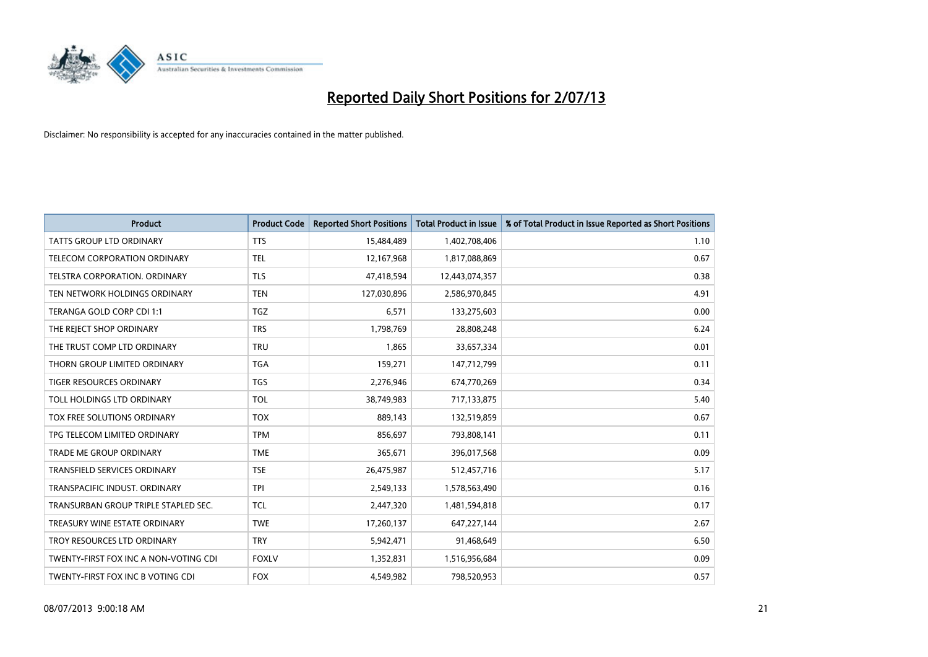

| <b>Product</b>                        | <b>Product Code</b> | <b>Reported Short Positions</b> | <b>Total Product in Issue</b> | % of Total Product in Issue Reported as Short Positions |
|---------------------------------------|---------------------|---------------------------------|-------------------------------|---------------------------------------------------------|
| <b>TATTS GROUP LTD ORDINARY</b>       | <b>TTS</b>          | 15,484,489                      | 1,402,708,406                 | 1.10                                                    |
| TELECOM CORPORATION ORDINARY          | <b>TEL</b>          | 12,167,968                      | 1,817,088,869                 | 0.67                                                    |
| TELSTRA CORPORATION. ORDINARY         | <b>TLS</b>          | 47,418,594                      | 12,443,074,357                | 0.38                                                    |
| TEN NETWORK HOLDINGS ORDINARY         | <b>TEN</b>          | 127,030,896                     | 2,586,970,845                 | 4.91                                                    |
| TERANGA GOLD CORP CDI 1:1             | <b>TGZ</b>          | 6,571                           | 133,275,603                   | 0.00                                                    |
| THE REJECT SHOP ORDINARY              | <b>TRS</b>          | 1,798,769                       | 28,808,248                    | 6.24                                                    |
| THE TRUST COMP LTD ORDINARY           | <b>TRU</b>          | 1,865                           | 33,657,334                    | 0.01                                                    |
| THORN GROUP LIMITED ORDINARY          | <b>TGA</b>          | 159,271                         | 147,712,799                   | 0.11                                                    |
| <b>TIGER RESOURCES ORDINARY</b>       | <b>TGS</b>          | 2,276,946                       | 674,770,269                   | 0.34                                                    |
| TOLL HOLDINGS LTD ORDINARY            | <b>TOL</b>          | 38,749,983                      | 717,133,875                   | 5.40                                                    |
| TOX FREE SOLUTIONS ORDINARY           | <b>TOX</b>          | 889,143                         | 132,519,859                   | 0.67                                                    |
| TPG TELECOM LIMITED ORDINARY          | <b>TPM</b>          | 856,697                         | 793,808,141                   | 0.11                                                    |
| <b>TRADE ME GROUP ORDINARY</b>        | <b>TME</b>          | 365,671                         | 396,017,568                   | 0.09                                                    |
| <b>TRANSFIELD SERVICES ORDINARY</b>   | <b>TSE</b>          | 26,475,987                      | 512,457,716                   | 5.17                                                    |
| TRANSPACIFIC INDUST, ORDINARY         | <b>TPI</b>          | 2,549,133                       | 1,578,563,490                 | 0.16                                                    |
| TRANSURBAN GROUP TRIPLE STAPLED SEC.  | <b>TCL</b>          | 2,447,320                       | 1,481,594,818                 | 0.17                                                    |
| TREASURY WINE ESTATE ORDINARY         | <b>TWE</b>          | 17,260,137                      | 647,227,144                   | 2.67                                                    |
| TROY RESOURCES LTD ORDINARY           | <b>TRY</b>          | 5,942,471                       | 91,468,649                    | 6.50                                                    |
| TWENTY-FIRST FOX INC A NON-VOTING CDI | <b>FOXLV</b>        | 1,352,831                       | 1,516,956,684                 | 0.09                                                    |
| TWENTY-FIRST FOX INC B VOTING CDI     | <b>FOX</b>          | 4,549,982                       | 798,520,953                   | 0.57                                                    |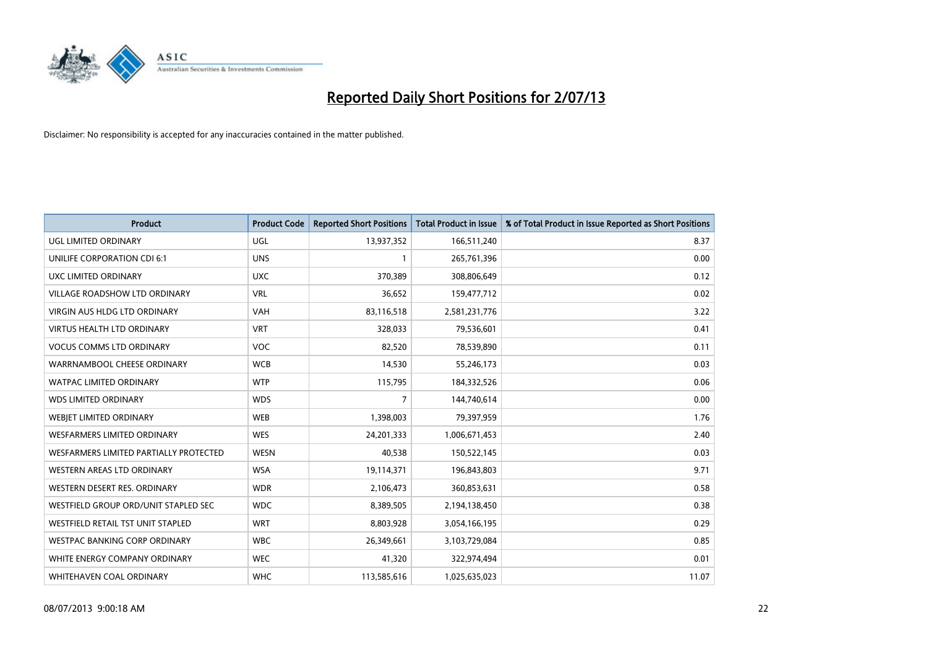

| <b>Product</b>                         | <b>Product Code</b> | <b>Reported Short Positions</b> | <b>Total Product in Issue</b> | % of Total Product in Issue Reported as Short Positions |
|----------------------------------------|---------------------|---------------------------------|-------------------------------|---------------------------------------------------------|
| <b>UGL LIMITED ORDINARY</b>            | UGL                 | 13,937,352                      | 166,511,240                   | 8.37                                                    |
| UNILIFE CORPORATION CDI 6:1            | <b>UNS</b>          |                                 | 265,761,396                   | 0.00                                                    |
| UXC LIMITED ORDINARY                   | <b>UXC</b>          | 370,389                         | 308,806,649                   | 0.12                                                    |
| VILLAGE ROADSHOW LTD ORDINARY          | <b>VRL</b>          | 36,652                          | 159,477,712                   | 0.02                                                    |
| <b>VIRGIN AUS HLDG LTD ORDINARY</b>    | <b>VAH</b>          | 83,116,518                      | 2,581,231,776                 | 3.22                                                    |
| <b>VIRTUS HEALTH LTD ORDINARY</b>      | <b>VRT</b>          | 328,033                         | 79,536,601                    | 0.41                                                    |
| <b>VOCUS COMMS LTD ORDINARY</b>        | <b>VOC</b>          | 82,520                          | 78,539,890                    | 0.11                                                    |
| WARRNAMBOOL CHEESE ORDINARY            | <b>WCB</b>          | 14,530                          | 55,246,173                    | 0.03                                                    |
| <b>WATPAC LIMITED ORDINARY</b>         | <b>WTP</b>          | 115,795                         | 184,332,526                   | 0.06                                                    |
| <b>WDS LIMITED ORDINARY</b>            | <b>WDS</b>          | $\overline{7}$                  | 144,740,614                   | 0.00                                                    |
| WEBJET LIMITED ORDINARY                | <b>WEB</b>          | 1,398,003                       | 79,397,959                    | 1.76                                                    |
| <b>WESFARMERS LIMITED ORDINARY</b>     | <b>WES</b>          | 24,201,333                      | 1,006,671,453                 | 2.40                                                    |
| WESFARMERS LIMITED PARTIALLY PROTECTED | <b>WESN</b>         | 40,538                          | 150,522,145                   | 0.03                                                    |
| WESTERN AREAS LTD ORDINARY             | <b>WSA</b>          | 19,114,371                      | 196,843,803                   | 9.71                                                    |
| WESTERN DESERT RES. ORDINARY           | <b>WDR</b>          | 2,106,473                       | 360,853,631                   | 0.58                                                    |
| WESTFIELD GROUP ORD/UNIT STAPLED SEC   | <b>WDC</b>          | 8,389,505                       | 2,194,138,450                 | 0.38                                                    |
| WESTFIELD RETAIL TST UNIT STAPLED      | <b>WRT</b>          | 8,803,928                       | 3,054,166,195                 | 0.29                                                    |
| WESTPAC BANKING CORP ORDINARY          | <b>WBC</b>          | 26,349,661                      | 3,103,729,084                 | 0.85                                                    |
| WHITE ENERGY COMPANY ORDINARY          | <b>WEC</b>          | 41,320                          | 322,974,494                   | 0.01                                                    |
| WHITEHAVEN COAL ORDINARY               | <b>WHC</b>          | 113,585,616                     | 1,025,635,023                 | 11.07                                                   |